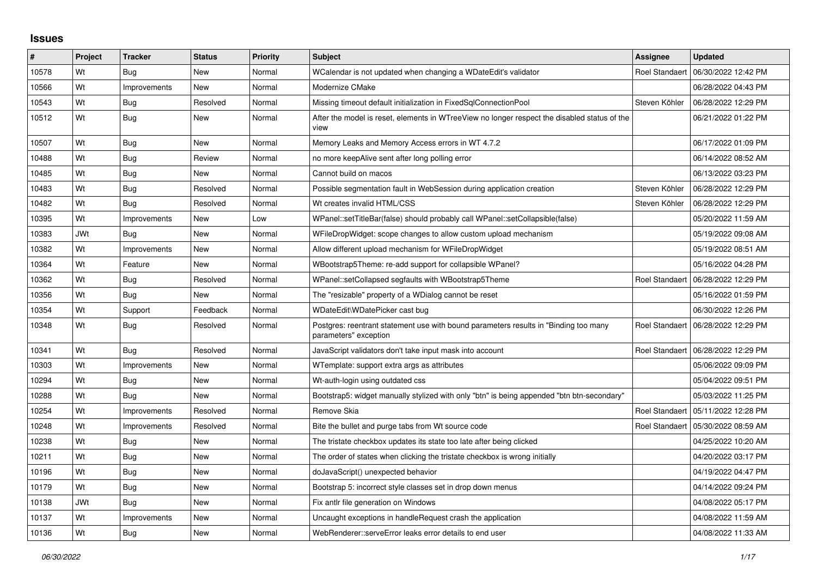## **Issues**

| #     | <b>Project</b> | <b>Tracker</b> | <b>Status</b> | <b>Priority</b> | <b>Subject</b>                                                                                                | Assignee              | <b>Updated</b>                       |
|-------|----------------|----------------|---------------|-----------------|---------------------------------------------------------------------------------------------------------------|-----------------------|--------------------------------------|
| 10578 | Wt             | Bug            | <b>New</b>    | Normal          | WCalendar is not updated when changing a WDateEdit's validator                                                | Roel Standaer         | 06/30/2022 12:42 PM                  |
| 10566 | Wt             | Improvements   | <b>New</b>    | Normal          | Modernize CMake                                                                                               |                       | 06/28/2022 04:43 PM                  |
| 10543 | Wt             | <b>Bug</b>     | Resolved      | Normal          | Missing timeout default initialization in FixedSqlConnectionPool                                              | Steven Köhler         | 06/28/2022 12:29 PM                  |
| 10512 | Wt             | Bug            | New           | Normal          | After the model is reset, elements in WTreeView no longer respect the disabled status of the<br>view          |                       | 06/21/2022 01:22 PM                  |
| 10507 | Wt             | <b>Bug</b>     | <b>New</b>    | Normal          | Memory Leaks and Memory Access errors in WT 4.7.2                                                             |                       | 06/17/2022 01:09 PM                  |
| 10488 | Wt             | Bug            | Review        | Normal          | no more keepAlive sent after long polling error                                                               |                       | 06/14/2022 08:52 AM                  |
| 10485 | Wt             | <b>Bug</b>     | New           | Normal          | Cannot build on macos                                                                                         |                       | 06/13/2022 03:23 PM                  |
| 10483 | Wt             | Bug            | Resolved      | Normal          | Possible segmentation fault in WebSession during application creation                                         | Steven Köhler         | 06/28/2022 12:29 PM                  |
| 10482 | Wt             | Bug            | Resolved      | Normal          | Wt creates invalid HTML/CSS                                                                                   | Steven Köhler         | 06/28/2022 12:29 PM                  |
| 10395 | Wt             | Improvements   | New           | Low             | WPanel::setTitleBar(false) should probably call WPanel::setCollapsible(false)                                 |                       | 05/20/2022 11:59 AM                  |
| 10383 | <b>JWt</b>     | Bug            | New           | Normal          | WFileDropWidget: scope changes to allow custom upload mechanism                                               |                       | 05/19/2022 09:08 AM                  |
| 10382 | Wt             | Improvements   | <b>New</b>    | Normal          | Allow different upload mechanism for WFileDropWidget                                                          |                       | 05/19/2022 08:51 AM                  |
| 10364 | Wt             | Feature        | New           | Normal          | WBootstrap5Theme: re-add support for collapsible WPanel?                                                      |                       | 05/16/2022 04:28 PM                  |
| 10362 | Wt             | Bug            | Resolved      | Normal          | WPanel::setCollapsed segfaults with WBootstrap5Theme                                                          | Roel Standaert        | 06/28/2022 12:29 PM                  |
| 10356 | Wt             | <b>Bug</b>     | <b>New</b>    | Normal          | The "resizable" property of a WDialog cannot be reset                                                         |                       | 05/16/2022 01:59 PM                  |
| 10354 | Wt             | Support        | Feedback      | Normal          | WDateEdit\WDatePicker cast bug                                                                                |                       | 06/30/2022 12:26 PM                  |
| 10348 | Wt             | Bug            | Resolved      | Normal          | Postgres: reentrant statement use with bound parameters results in "Binding too many<br>parameters" exception | Roel Standaert        | 06/28/2022 12:29 PM                  |
| 10341 | Wt             | Bug            | Resolved      | Normal          | JavaScript validators don't take input mask into account                                                      |                       | Roel Standaert   06/28/2022 12:29 PM |
| 10303 | Wt             | Improvements   | New           | Normal          | WTemplate: support extra args as attributes                                                                   |                       | 05/06/2022 09:09 PM                  |
| 10294 | Wt             | Bug            | <b>New</b>    | Normal          | Wt-auth-login using outdated css                                                                              |                       | 05/04/2022 09:51 PM                  |
| 10288 | Wt             | Bug            | <b>New</b>    | Normal          | Bootstrap5: widget manually stylized with only "btn" is being appended "btn btn-secondary"                    |                       | 05/03/2022 11:25 PM                  |
| 10254 | Wt             | Improvements   | Resolved      | Normal          | Remove Skia                                                                                                   | <b>Roel Standaert</b> | 05/11/2022 12:28 PM                  |
| 10248 | Wt             | Improvements   | Resolved      | Normal          | Bite the bullet and purge tabs from Wt source code                                                            |                       | Roel Standaert   05/30/2022 08:59 AM |
| 10238 | Wt             | <b>Bug</b>     | New           | Normal          | The tristate checkbox updates its state too late after being clicked                                          |                       | 04/25/2022 10:20 AM                  |
| 10211 | Wt             | <b>Bug</b>     | New           | Normal          | The order of states when clicking the tristate checkbox is wrong initially                                    |                       | 04/20/2022 03:17 PM                  |
| 10196 | Wt             | Bug            | New           | Normal          | doJavaScript() unexpected behavior                                                                            |                       | 04/19/2022 04:47 PM                  |
| 10179 | Wt             | Bug            | New           | Normal          | Bootstrap 5: incorrect style classes set in drop down menus                                                   |                       | 04/14/2022 09:24 PM                  |
| 10138 | JWt            | Bug            | New           | Normal          | Fix antlr file generation on Windows                                                                          |                       | 04/08/2022 05:17 PM                  |
| 10137 | Wt             | Improvements   | <b>New</b>    | Normal          | Uncaught exceptions in handleRequest crash the application                                                    |                       | 04/08/2022 11:59 AM                  |
| 10136 | Wt             | <b>Bug</b>     | New           | Normal          | WebRenderer::serveError leaks error details to end user                                                       |                       | 04/08/2022 11:33 AM                  |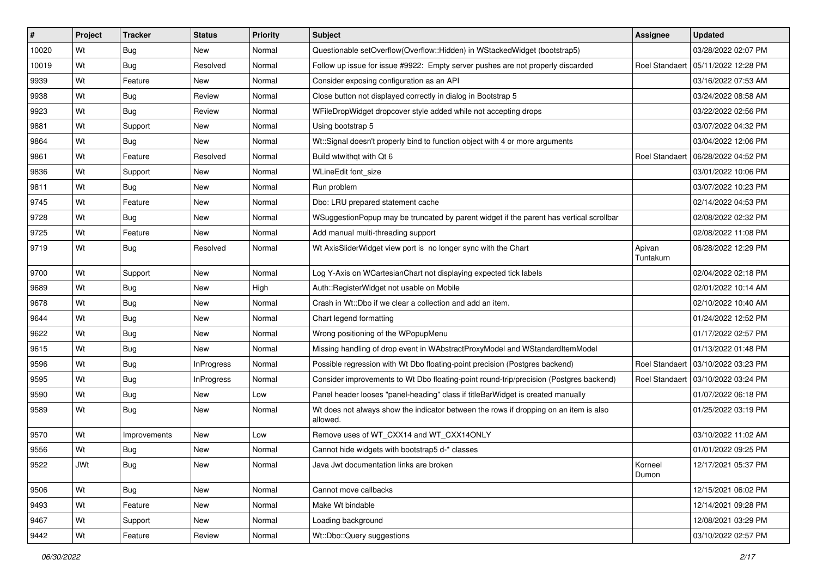| $\sharp$ | Project    | <b>Tracker</b> | <b>Status</b>     | Priority | <b>Subject</b>                                                                                    | <b>Assignee</b>     | <b>Updated</b>                       |
|----------|------------|----------------|-------------------|----------|---------------------------------------------------------------------------------------------------|---------------------|--------------------------------------|
| 10020    | Wt         | <b>Bug</b>     | New               | Normal   | Questionable setOverflow(Overflow::Hidden) in WStackedWidget (bootstrap5)                         |                     | 03/28/2022 02:07 PM                  |
| 10019    | Wt         | <b>Bug</b>     | Resolved          | Normal   | Follow up issue for issue #9922: Empty server pushes are not properly discarded                   |                     | Roel Standaert   05/11/2022 12:28 PM |
| 9939     | Wt         | Feature        | New               | Normal   | Consider exposing configuration as an API                                                         |                     | 03/16/2022 07:53 AM                  |
| 9938     | Wt         | Bug            | Review            | Normal   | Close button not displayed correctly in dialog in Bootstrap 5                                     |                     | 03/24/2022 08:58 AM                  |
| 9923     | Wt         | <b>Bug</b>     | Review            | Normal   | WFileDropWidget dropcover style added while not accepting drops                                   |                     | 03/22/2022 02:56 PM                  |
| 9881     | Wt         | Support        | New               | Normal   | Using bootstrap 5                                                                                 |                     | 03/07/2022 04:32 PM                  |
| 9864     | Wt         | Bug            | New               | Normal   | Wt::Signal doesn't properly bind to function object with 4 or more arguments                      |                     | 03/04/2022 12:06 PM                  |
| 9861     | Wt         | Feature        | Resolved          | Normal   | Build wtwithgt with Qt 6                                                                          |                     | Roel Standaert   06/28/2022 04:52 PM |
| 9836     | Wt         | Support        | New               | Normal   | WLineEdit font size                                                                               |                     | 03/01/2022 10:06 PM                  |
| 9811     | Wt         | Bug            | New               | Normal   | Run problem                                                                                       |                     | 03/07/2022 10:23 PM                  |
| 9745     | Wt         | Feature        | New               | Normal   | Dbo: LRU prepared statement cache                                                                 |                     | 02/14/2022 04:53 PM                  |
| 9728     | Wt         | <b>Bug</b>     | New               | Normal   | WSuggestionPopup may be truncated by parent widget if the parent has vertical scrollbar           |                     | 02/08/2022 02:32 PM                  |
| 9725     | Wt         | Feature        | New               | Normal   | Add manual multi-threading support                                                                |                     | 02/08/2022 11:08 PM                  |
| 9719     | Wt         | Bug            | Resolved          | Normal   | Wt AxisSliderWidget view port is no longer sync with the Chart                                    | Apivan<br>Tuntakurn | 06/28/2022 12:29 PM                  |
| 9700     | Wt         | Support        | New               | Normal   | Log Y-Axis on WCartesianChart not displaying expected tick labels                                 |                     | 02/04/2022 02:18 PM                  |
| 9689     | Wt         | Bug            | New               | High     | Auth::RegisterWidget not usable on Mobile                                                         |                     | 02/01/2022 10:14 AM                  |
| 9678     | Wt         | Bug            | New               | Normal   | Crash in Wt::Dbo if we clear a collection and add an item.                                        |                     | 02/10/2022 10:40 AM                  |
| 9644     | Wt         | <b>Bug</b>     | New               | Normal   | Chart legend formatting                                                                           |                     | 01/24/2022 12:52 PM                  |
| 9622     | Wt         | Bug            | New               | Normal   | Wrong positioning of the WPopupMenu                                                               |                     | 01/17/2022 02:57 PM                  |
| 9615     | Wt         | Bug            | New               | Normal   | Missing handling of drop event in WAbstractProxyModel and WStandardItemModel                      |                     | 01/13/2022 01:48 PM                  |
| 9596     | Wt         | <b>Bug</b>     | <b>InProgress</b> | Normal   | Possible regression with Wt Dbo floating-point precision (Postgres backend)                       |                     | Roel Standaert   03/10/2022 03:23 PM |
| 9595     | Wt         | <b>Bug</b>     | InProgress        | Normal   | Consider improvements to Wt Dbo floating-point round-trip/precision (Postgres backend)            |                     | Roel Standaert   03/10/2022 03:24 PM |
| 9590     | Wt         | Bug            | New               | Low      | Panel header looses "panel-heading" class if titleBarWidget is created manually                   |                     | 01/07/2022 06:18 PM                  |
| 9589     | Wt         | Bug            | New               | Normal   | Wt does not always show the indicator between the rows if dropping on an item is also<br>allowed. |                     | 01/25/2022 03:19 PM                  |
| 9570     | Wt         | Improvements   | New               | Low      | Remove uses of WT_CXX14 and WT_CXX14ONLY                                                          |                     | 03/10/2022 11:02 AM                  |
| 9556     | Wt         | Bug            | New               | Normal   | Cannot hide widgets with bootstrap5 d-* classes                                                   |                     | 01/01/2022 09:25 PM                  |
| 9522     | <b>JWt</b> | <b>Bug</b>     | New               | Normal   | Java Jwt documentation links are broken                                                           | Korneel<br>Dumon    | 12/17/2021 05:37 PM                  |
| 9506     | Wt         | <b>Bug</b>     | New               | Normal   | Cannot move callbacks                                                                             |                     | 12/15/2021 06:02 PM                  |
| 9493     | Wt         | Feature        | New               | Normal   | Make Wt bindable                                                                                  |                     | 12/14/2021 09:28 PM                  |
| 9467     | Wt         | Support        | New               | Normal   | Loading background                                                                                |                     | 12/08/2021 03:29 PM                  |
| 9442     | Wt         | Feature        | Review            | Normal   | Wt::Dbo::Query suggestions                                                                        |                     | 03/10/2022 02:57 PM                  |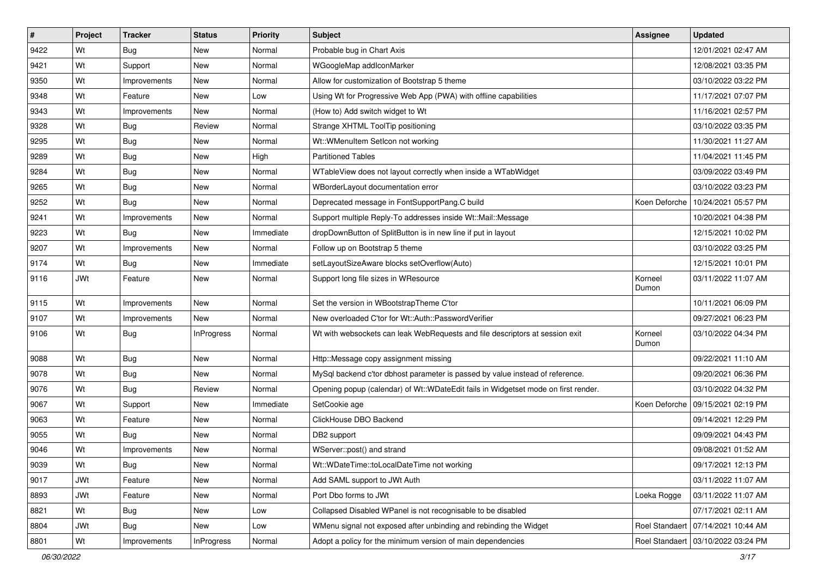| $\vert$ # | Project    | <b>Tracker</b> | <b>Status</b>     | Priority  | <b>Subject</b>                                                                     | <b>Assignee</b>  | <b>Updated</b>                       |
|-----------|------------|----------------|-------------------|-----------|------------------------------------------------------------------------------------|------------------|--------------------------------------|
| 9422      | Wt         | <b>Bug</b>     | New               | Normal    | Probable bug in Chart Axis                                                         |                  | 12/01/2021 02:47 AM                  |
| 9421      | Wt         | Support        | <b>New</b>        | Normal    | WGoogleMap addlconMarker                                                           |                  | 12/08/2021 03:35 PM                  |
| 9350      | Wt         | Improvements   | New               | Normal    | Allow for customization of Bootstrap 5 theme                                       |                  | 03/10/2022 03:22 PM                  |
| 9348      | Wt         | Feature        | New               | Low       | Using Wt for Progressive Web App (PWA) with offline capabilities                   |                  | 11/17/2021 07:07 PM                  |
| 9343      | Wt         | Improvements   | <b>New</b>        | Normal    | (How to) Add switch widget to Wt                                                   |                  | 11/16/2021 02:57 PM                  |
| 9328      | Wt         | Bug            | Review            | Normal    | Strange XHTML ToolTip positioning                                                  |                  | 03/10/2022 03:35 PM                  |
| 9295      | Wt         | Bug            | New               | Normal    | Wt::WMenuItem SetIcon not working                                                  |                  | 11/30/2021 11:27 AM                  |
| 9289      | Wt         | Bug            | New               | High      | <b>Partitioned Tables</b>                                                          |                  | 11/04/2021 11:45 PM                  |
| 9284      | Wt         | Bug            | New               | Normal    | WTableView does not layout correctly when inside a WTabWidget                      |                  | 03/09/2022 03:49 PM                  |
| 9265      | Wt         | <b>Bug</b>     | <b>New</b>        | Normal    | WBorderLayout documentation error                                                  |                  | 03/10/2022 03:23 PM                  |
| 9252      | Wt         | Bug            | New               | Normal    | Deprecated message in FontSupportPang.C build                                      | Koen Deforche    | 10/24/2021 05:57 PM                  |
| 9241      | Wt         | Improvements   | New               | Normal    | Support multiple Reply-To addresses inside Wt::Mail::Message                       |                  | 10/20/2021 04:38 PM                  |
| 9223      | Wt         | Bug            | <b>New</b>        | Immediate | dropDownButton of SplitButton is in new line if put in layout                      |                  | 12/15/2021 10:02 PM                  |
| 9207      | Wt         | Improvements   | New               | Normal    | Follow up on Bootstrap 5 theme                                                     |                  | 03/10/2022 03:25 PM                  |
| 9174      | Wt         | Bug            | <b>New</b>        | Immediate | setLayoutSizeAware blocks setOverflow(Auto)                                        |                  | 12/15/2021 10:01 PM                  |
| 9116      | JWt        | Feature        | New               | Normal    | Support long file sizes in WResource                                               | Korneel<br>Dumon | 03/11/2022 11:07 AM                  |
| 9115      | Wt         | Improvements   | <b>New</b>        | Normal    | Set the version in WBootstrapTheme C'tor                                           |                  | 10/11/2021 06:09 PM                  |
| 9107      | Wt         | Improvements   | New               | Normal    | New overloaded C'tor for Wt::Auth::PasswordVerifier                                |                  | 09/27/2021 06:23 PM                  |
| 9106      | Wt         | <b>Bug</b>     | <b>InProgress</b> | Normal    | Wt with websockets can leak WebRequests and file descriptors at session exit       | Korneel<br>Dumon | 03/10/2022 04:34 PM                  |
| 9088      | Wt         | <b>Bug</b>     | <b>New</b>        | Normal    | Http:: Message copy assignment missing                                             |                  | 09/22/2021 11:10 AM                  |
| 9078      | Wt         | <b>Bug</b>     | New               | Normal    | MySql backend c'tor dbhost parameter is passed by value instead of reference.      |                  | 09/20/2021 06:36 PM                  |
| 9076      | Wt         | Bug            | Review            | Normal    | Opening popup (calendar) of Wt::WDateEdit fails in Widgetset mode on first render. |                  | 03/10/2022 04:32 PM                  |
| 9067      | Wt         | Support        | New               | Immediate | SetCookie age                                                                      |                  | Koen Deforche   09/15/2021 02:19 PM  |
| 9063      | Wt         | Feature        | <b>New</b>        | Normal    | ClickHouse DBO Backend                                                             |                  | 09/14/2021 12:29 PM                  |
| 9055      | Wt         | <b>Bug</b>     | New               | Normal    | DB2 support                                                                        |                  | 09/09/2021 04:43 PM                  |
| 9046      | Wt         | Improvements   | New               | Normal    | WServer::post() and strand                                                         |                  | 09/08/2021 01:52 AM                  |
| 9039      | Wt         | <b>Bug</b>     | New               | Normal    | Wt::WDateTime::toLocalDateTime not working                                         |                  | 09/17/2021 12:13 PM                  |
| 9017      | JWt        | Feature        | New               | Normal    | Add SAML support to JWt Auth                                                       |                  | 03/11/2022 11:07 AM                  |
| 8893      | <b>JWt</b> | Feature        | New               | Normal    | Port Dbo forms to JWt                                                              | Loeka Rogge      | 03/11/2022 11:07 AM                  |
| 8821      | Wt         | <b>Bug</b>     | New               | Low       | Collapsed Disabled WPanel is not recognisable to be disabled                       |                  | 07/17/2021 02:11 AM                  |
| 8804      | JWt        | Bug            | New               | Low       | WMenu signal not exposed after unbinding and rebinding the Widget                  |                  | Roel Standaert   07/14/2021 10:44 AM |
| 8801      | Wt         | Improvements   | InProgress        | Normal    | Adopt a policy for the minimum version of main dependencies                        |                  | Roel Standaert   03/10/2022 03:24 PM |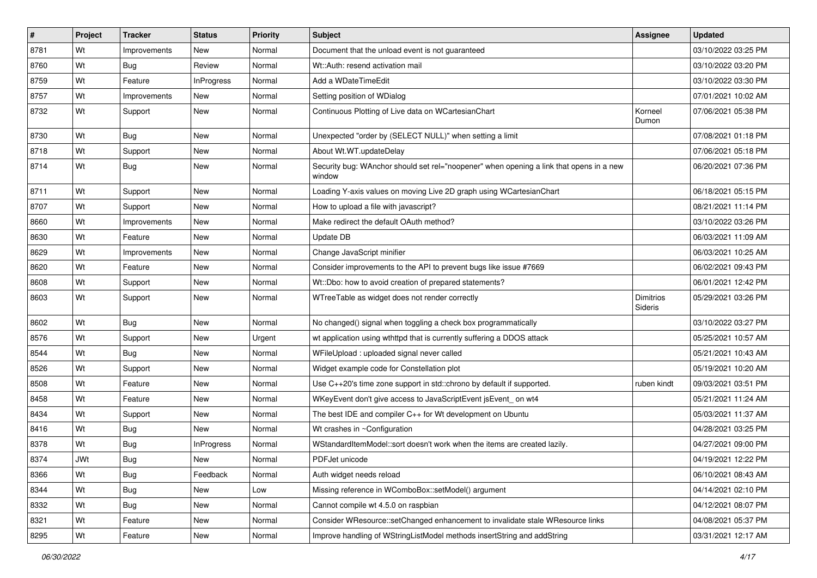| #    | Project    | <b>Tracker</b> | <b>Status</b>     | <b>Priority</b> | <b>Subject</b>                                                                                    | Assignee                    | <b>Updated</b>      |
|------|------------|----------------|-------------------|-----------------|---------------------------------------------------------------------------------------------------|-----------------------------|---------------------|
| 8781 | Wt         | Improvements   | New               | Normal          | Document that the unload event is not guaranteed                                                  |                             | 03/10/2022 03:25 PM |
| 8760 | Wt         | Bug            | Review            | Normal          | Wt::Auth: resend activation mail                                                                  |                             | 03/10/2022 03:20 PM |
| 8759 | Wt         | Feature        | <b>InProgress</b> | Normal          | Add a WDateTimeEdit                                                                               |                             | 03/10/2022 03:30 PM |
| 8757 | Wt         | Improvements   | New               | Normal          | Setting position of WDialog                                                                       |                             | 07/01/2021 10:02 AM |
| 8732 | Wt         | Support        | New               | Normal          | Continuous Plotting of Live data on WCartesianChart                                               | Korneel<br>Dumon            | 07/06/2021 05:38 PM |
| 8730 | Wt         | Bug            | New               | Normal          | Unexpected "order by (SELECT NULL)" when setting a limit                                          |                             | 07/08/2021 01:18 PM |
| 8718 | Wt         | Support        | New               | Normal          | About Wt.WT.updateDelay                                                                           |                             | 07/06/2021 05:18 PM |
| 8714 | Wt         | Bug            | New               | Normal          | Security bug: WAnchor should set rel="noopener" when opening a link that opens in a new<br>window |                             | 06/20/2021 07:36 PM |
| 8711 | Wt         | Support        | New               | Normal          | Loading Y-axis values on moving Live 2D graph using WCartesianChart                               |                             | 06/18/2021 05:15 PM |
| 8707 | Wt         | Support        | New               | Normal          | How to upload a file with javascript?                                                             |                             | 08/21/2021 11:14 PM |
| 8660 | Wt         | Improvements   | New               | Normal          | Make redirect the default OAuth method?                                                           |                             | 03/10/2022 03:26 PM |
| 8630 | Wt         | Feature        | New               | Normal          | Update DB                                                                                         |                             | 06/03/2021 11:09 AM |
| 8629 | Wt         | Improvements   | New               | Normal          | Change JavaScript minifier                                                                        |                             | 06/03/2021 10:25 AM |
| 8620 | Wt         | Feature        | <b>New</b>        | Normal          | Consider improvements to the API to prevent bugs like issue #7669                                 |                             | 06/02/2021 09:43 PM |
| 8608 | Wt         | Support        | <b>New</b>        | Normal          | Wt::Dbo: how to avoid creation of prepared statements?                                            |                             | 06/01/2021 12:42 PM |
| 8603 | Wt         | Support        | New               | Normal          | WTreeTable as widget does not render correctly                                                    | <b>Dimitrios</b><br>Sideris | 05/29/2021 03:26 PM |
| 8602 | Wt         | <b>Bug</b>     | New               | Normal          | No changed() signal when toggling a check box programmatically                                    |                             | 03/10/2022 03:27 PM |
| 8576 | Wt         | Support        | New               | Urgent          | wt application using wthttpd that is currently suffering a DDOS attack                            |                             | 05/25/2021 10:57 AM |
| 8544 | Wt         | Bug            | New               | Normal          | WFileUpload: uploaded signal never called                                                         |                             | 05/21/2021 10:43 AM |
| 8526 | Wt         | Support        | New               | Normal          | Widget example code for Constellation plot                                                        |                             | 05/19/2021 10:20 AM |
| 8508 | Wt         | Feature        | New               | Normal          | Use C++20's time zone support in std::chrono by default if supported.                             | ruben kindt                 | 09/03/2021 03:51 PM |
| 8458 | Wt         | Feature        | New               | Normal          | WKeyEvent don't give access to JavaScriptEvent jsEvent_on wt4                                     |                             | 05/21/2021 11:24 AM |
| 8434 | Wt         | Support        | New               | Normal          | The best IDE and compiler C++ for Wt development on Ubuntu                                        |                             | 05/03/2021 11:37 AM |
| 8416 | Wt         | <b>Bug</b>     | New               | Normal          | Wt crashes in ~Configuration                                                                      |                             | 04/28/2021 03:25 PM |
| 8378 | Wt         | <b>Bug</b>     | <b>InProgress</b> | Normal          | WStandardItemModel::sort doesn't work when the items are created lazily.                          |                             | 04/27/2021 09:00 PM |
| 8374 | <b>JWt</b> | <b>Bug</b>     | New               | Normal          | PDFJet unicode                                                                                    |                             | 04/19/2021 12:22 PM |
| 8366 | Wt         | Bug            | Feedback          | Normal          | Auth widget needs reload                                                                          |                             | 06/10/2021 08:43 AM |
| 8344 | Wt         | <b>Bug</b>     | New               | Low             | Missing reference in WComboBox::setModel() argument                                               |                             | 04/14/2021 02:10 PM |
| 8332 | Wt         | Bug            | New               | Normal          | Cannot compile wt 4.5.0 on raspbian                                                               |                             | 04/12/2021 08:07 PM |
| 8321 | Wt         | Feature        | New               | Normal          | Consider WResource::setChanged enhancement to invalidate stale WResource links                    |                             | 04/08/2021 05:37 PM |
| 8295 | Wt         | Feature        | New               | Normal          | Improve handling of WStringListModel methods insertString and addString                           |                             | 03/31/2021 12:17 AM |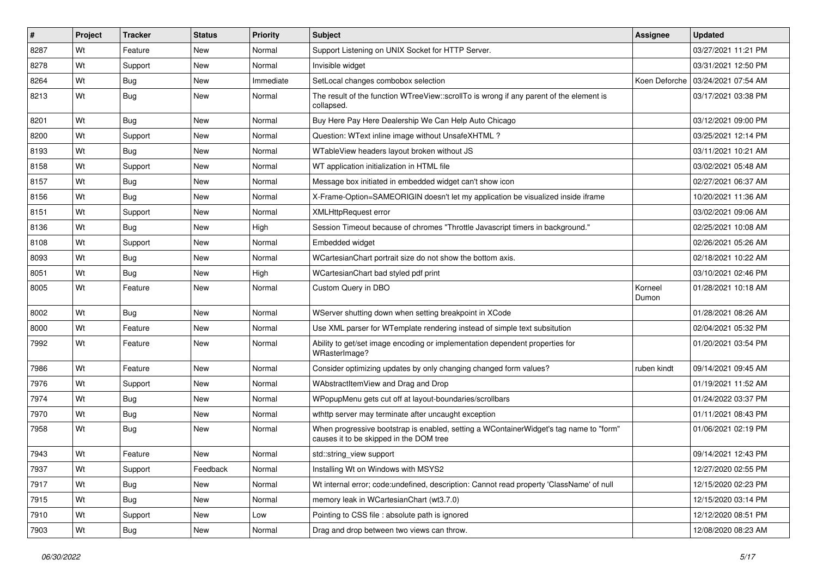| #    | Project | <b>Tracker</b> | <b>Status</b> | <b>Priority</b> | Subject                                                                                                                           | Assignee         | <b>Updated</b>                      |
|------|---------|----------------|---------------|-----------------|-----------------------------------------------------------------------------------------------------------------------------------|------------------|-------------------------------------|
| 8287 | Wt      | Feature        | <b>New</b>    | Normal          | Support Listening on UNIX Socket for HTTP Server.                                                                                 |                  | 03/27/2021 11:21 PM                 |
| 8278 | Wt      | Support        | <b>New</b>    | Normal          | Invisible widget                                                                                                                  |                  | 03/31/2021 12:50 PM                 |
| 8264 | Wt      | <b>Bug</b>     | <b>New</b>    | Immediate       | SetLocal changes combobox selection                                                                                               |                  | Koen Deforche   03/24/2021 07:54 AM |
| 8213 | Wt      | <b>Bug</b>     | <b>New</b>    | Normal          | The result of the function WTreeView::scrollTo is wrong if any parent of the element is<br>collapsed.                             |                  | 03/17/2021 03:38 PM                 |
| 8201 | Wt      | Bug            | <b>New</b>    | Normal          | Buy Here Pay Here Dealership We Can Help Auto Chicago                                                                             |                  | 03/12/2021 09:00 PM                 |
| 8200 | Wt      | Support        | <b>New</b>    | Normal          | Question: WText inline image without UnsafeXHTML?                                                                                 |                  | 03/25/2021 12:14 PM                 |
| 8193 | Wt      | <b>Bug</b>     | <b>New</b>    | Normal          | WTableView headers layout broken without JS                                                                                       |                  | 03/11/2021 10:21 AM                 |
| 8158 | Wt      | Support        | <b>New</b>    | Normal          | WT application initialization in HTML file                                                                                        |                  | 03/02/2021 05:48 AM                 |
| 8157 | Wt      | <b>Bug</b>     | <b>New</b>    | Normal          | Message box initiated in embedded widget can't show icon                                                                          |                  | 02/27/2021 06:37 AM                 |
| 8156 | Wt      | Bug            | <b>New</b>    | Normal          | X-Frame-Option=SAMEORIGIN doesn't let my application be visualized inside iframe                                                  |                  | 10/20/2021 11:36 AM                 |
| 8151 | Wt      | Support        | <b>New</b>    | Normal          | <b>XMLHttpRequest error</b>                                                                                                       |                  | 03/02/2021 09:06 AM                 |
| 8136 | Wt      | Bug            | <b>New</b>    | High            | Session Timeout because of chromes "Throttle Javascript timers in background."                                                    |                  | 02/25/2021 10:08 AM                 |
| 8108 | Wt      | Support        | <b>New</b>    | Normal          | Embedded widget                                                                                                                   |                  | 02/26/2021 05:26 AM                 |
| 8093 | Wt      | <b>Bug</b>     | <b>New</b>    | Normal          | WCartesianChart portrait size do not show the bottom axis.                                                                        |                  | 02/18/2021 10:22 AM                 |
| 8051 | Wt      | <b>Bug</b>     | <b>New</b>    | High            | WCartesianChart bad styled pdf print                                                                                              |                  | 03/10/2021 02:46 PM                 |
| 8005 | Wt      | Feature        | <b>New</b>    | Normal          | Custom Query in DBO                                                                                                               | Korneel<br>Dumon | 01/28/2021 10:18 AM                 |
| 8002 | Wt      | Bug            | <b>New</b>    | Normal          | WServer shutting down when setting breakpoint in XCode                                                                            |                  | 01/28/2021 08:26 AM                 |
| 8000 | Wt      | Feature        | <b>New</b>    | Normal          | Use XML parser for WTemplate rendering instead of simple text subsitution                                                         |                  | 02/04/2021 05:32 PM                 |
| 7992 | Wt      | Feature        | <b>New</b>    | Normal          | Ability to get/set image encoding or implementation dependent properties for<br>WRasterImage?                                     |                  | 01/20/2021 03:54 PM                 |
| 7986 | Wt      | Feature        | <b>New</b>    | Normal          | Consider optimizing updates by only changing changed form values?                                                                 | ruben kindt      | 09/14/2021 09:45 AM                 |
| 7976 | Wt      | Support        | <b>New</b>    | Normal          | WAbstractItemView and Drag and Drop                                                                                               |                  | 01/19/2021 11:52 AM                 |
| 7974 | Wt      | <b>Bug</b>     | New           | Normal          | WPopupMenu gets cut off at layout-boundaries/scrollbars                                                                           |                  | 01/24/2022 03:37 PM                 |
| 7970 | Wt      | <b>Bug</b>     | New           | Normal          | wthttp server may terminate after uncaught exception                                                                              |                  | 01/11/2021 08:43 PM                 |
| 7958 | Wt      | <b>Bug</b>     | <b>New</b>    | Normal          | When progressive bootstrap is enabled, setting a WContainerWidget's tag name to "form"<br>causes it to be skipped in the DOM tree |                  | 01/06/2021 02:19 PM                 |
| 7943 | Wt      | Feature        | <b>New</b>    | Normal          | std::string_view support                                                                                                          |                  | 09/14/2021 12:43 PM                 |
| 7937 | Wt      | Support        | Feedback      | Normal          | Installing Wt on Windows with MSYS2                                                                                               |                  | 12/27/2020 02:55 PM                 |
| 7917 | Wt      | Bug            | New           | Normal          | Wt internal error; code:undefined, description: Cannot read property 'ClassName' of null                                          |                  | 12/15/2020 02:23 PM                 |
| 7915 | Wt      | Bug            | New           | Normal          | memory leak in WCartesianChart (wt3.7.0)                                                                                          |                  | 12/15/2020 03:14 PM                 |
| 7910 | Wt      | Support        | New           | Low             | Pointing to CSS file : absolute path is ignored                                                                                   |                  | 12/12/2020 08:51 PM                 |
| 7903 | Wt      | Bug            | New           | Normal          | Drag and drop between two views can throw.                                                                                        |                  | 12/08/2020 08:23 AM                 |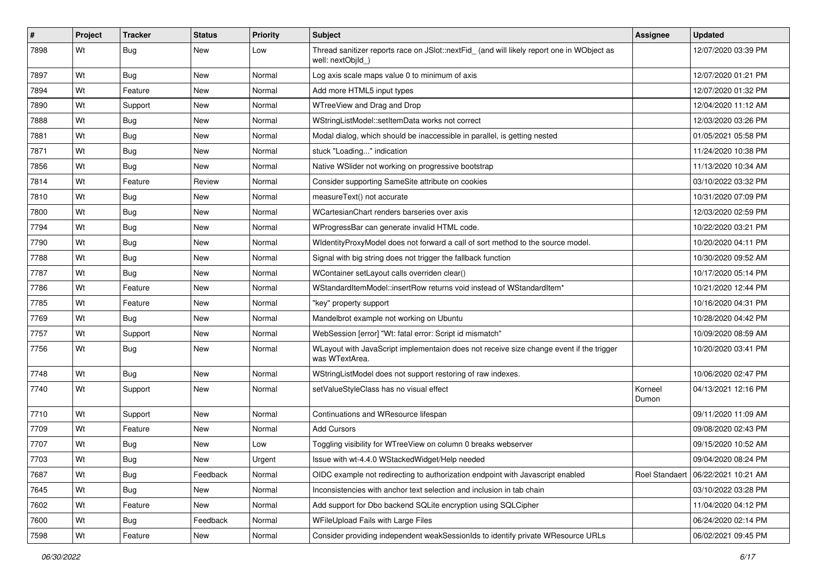| #    | Project | <b>Tracker</b> | <b>Status</b> | Priority | <b>Subject</b>                                                                                                  | <b>Assignee</b>  | <b>Updated</b>                       |
|------|---------|----------------|---------------|----------|-----------------------------------------------------------------------------------------------------------------|------------------|--------------------------------------|
| 7898 | Wt      | <b>Bug</b>     | New           | Low      | Thread sanitizer reports race on JSlot::nextFid_ (and will likely report one in WObject as<br>well: nextObjId ) |                  | 12/07/2020 03:39 PM                  |
| 7897 | Wt      | <b>Bug</b>     | New           | Normal   | Log axis scale maps value 0 to minimum of axis                                                                  |                  | 12/07/2020 01:21 PM                  |
| 7894 | Wt      | Feature        | New           | Normal   | Add more HTML5 input types                                                                                      |                  | 12/07/2020 01:32 PM                  |
| 7890 | Wt      | Support        | <b>New</b>    | Normal   | WTreeView and Drag and Drop                                                                                     |                  | 12/04/2020 11:12 AM                  |
| 7888 | Wt      | <b>Bug</b>     | New           | Normal   | WStringListModel::setItemData works not correct                                                                 |                  | 12/03/2020 03:26 PM                  |
| 7881 | Wt      | Bug            | New           | Normal   | Modal dialog, which should be inaccessible in parallel, is getting nested                                       |                  | 01/05/2021 05:58 PM                  |
| 7871 | Wt      | <b>Bug</b>     | New           | Normal   | stuck "Loading" indication                                                                                      |                  | 11/24/2020 10:38 PM                  |
| 7856 | Wt      | <b>Bug</b>     | New           | Normal   | Native WSIider not working on progressive bootstrap                                                             |                  | 11/13/2020 10:34 AM                  |
| 7814 | Wt      | Feature        | Review        | Normal   | Consider supporting SameSite attribute on cookies                                                               |                  | 03/10/2022 03:32 PM                  |
| 7810 | Wt      | Bug            | New           | Normal   | measureText() not accurate                                                                                      |                  | 10/31/2020 07:09 PM                  |
| 7800 | Wt      | Bug            | New           | Normal   | WCartesianChart renders barseries over axis                                                                     |                  | 12/03/2020 02:59 PM                  |
| 7794 | Wt      | Bug            | <b>New</b>    | Normal   | WProgressBar can generate invalid HTML code.                                                                    |                  | 10/22/2020 03:21 PM                  |
| 7790 | Wt      | <b>Bug</b>     | New           | Normal   | WidentityProxyModel does not forward a call of sort method to the source model.                                 |                  | 10/20/2020 04:11 PM                  |
| 7788 | Wt      | <b>Bug</b>     | New           | Normal   | Signal with big string does not trigger the fallback function                                                   |                  | 10/30/2020 09:52 AM                  |
| 7787 | Wt      | <b>Bug</b>     | New           | Normal   | WContainer setLayout calls overriden clear()                                                                    |                  | 10/17/2020 05:14 PM                  |
| 7786 | Wt      | Feature        | New           | Normal   | WStandardItemModel::insertRow returns void instead of WStandardItem*                                            |                  | 10/21/2020 12:44 PM                  |
| 7785 | Wt      | Feature        | <b>New</b>    | Normal   | "key" property support                                                                                          |                  | 10/16/2020 04:31 PM                  |
| 7769 | Wt      | <b>Bug</b>     | New           | Normal   | Mandelbrot example not working on Ubuntu                                                                        |                  | 10/28/2020 04:42 PM                  |
| 7757 | Wt      | Support        | New           | Normal   | WebSession [error] "Wt: fatal error: Script id mismatch"                                                        |                  | 10/09/2020 08:59 AM                  |
| 7756 | Wt      | Bug            | New           | Normal   | WLayout with JavaScript implementaion does not receive size change event if the trigger<br>was WTextArea.       |                  | 10/20/2020 03:41 PM                  |
| 7748 | Wt      | Bug            | <b>New</b>    | Normal   | WStringListModel does not support restoring of raw indexes.                                                     |                  | 10/06/2020 02:47 PM                  |
| 7740 | Wt      | Support        | New           | Normal   | setValueStyleClass has no visual effect                                                                         | Korneel<br>Dumon | 04/13/2021 12:16 PM                  |
| 7710 | Wt      | Support        | <b>New</b>    | Normal   | Continuations and WResource lifespan                                                                            |                  | 09/11/2020 11:09 AM                  |
| 7709 | Wt      | Feature        | New           | Normal   | <b>Add Cursors</b>                                                                                              |                  | 09/08/2020 02:43 PM                  |
| 7707 | Wt      | Bug            | New           | Low      | Toggling visibility for WTreeView on column 0 breaks webserver                                                  |                  | 09/15/2020 10:52 AM                  |
| 7703 | Wt      | Bug            | New           | Urgent   | Issue with wt-4.4.0 WStackedWidget/Help needed                                                                  |                  | 09/04/2020 08:24 PM                  |
| 7687 | Wt      | <b>Bug</b>     | Feedback      | Normal   | OIDC example not redirecting to authorization endpoint with Javascript enabled                                  |                  | Roel Standaert   06/22/2021 10:21 AM |
| 7645 | Wt      | Bug            | New           | Normal   | Inconsistencies with anchor text selection and inclusion in tab chain                                           |                  | 03/10/2022 03:28 PM                  |
| 7602 | Wt      | Feature        | New           | Normal   | Add support for Dbo backend SQLite encryption using SQLCipher                                                   |                  | 11/04/2020 04:12 PM                  |
| 7600 | Wt      | Bug            | Feedback      | Normal   | WFileUpload Fails with Large Files                                                                              |                  | 06/24/2020 02:14 PM                  |
| 7598 | Wt      | Feature        | New           | Normal   | Consider providing independent weakSessionIds to identify private WResource URLs                                |                  | 06/02/2021 09:45 PM                  |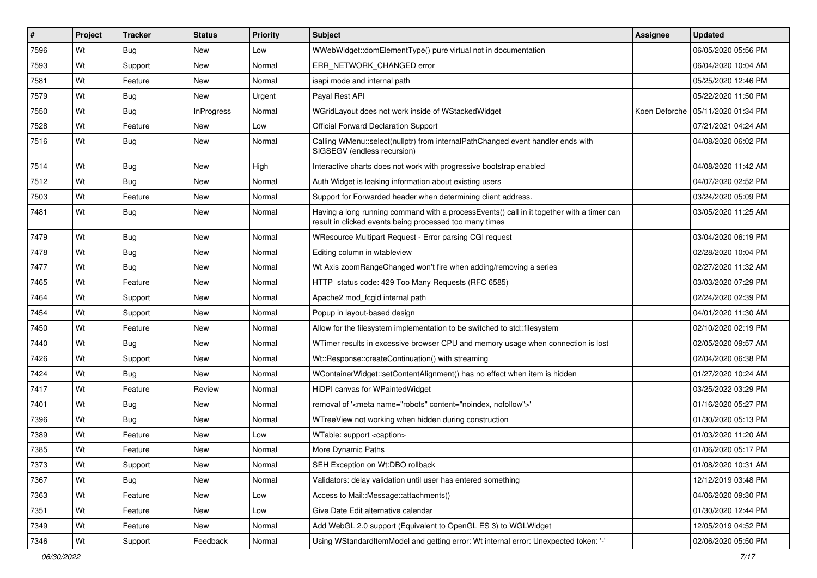| ∦    | Project | <b>Tracker</b> | <b>Status</b>     | <b>Priority</b> | Subject                                                                                                                                              | Assignee      | <b>Updated</b>      |
|------|---------|----------------|-------------------|-----------------|------------------------------------------------------------------------------------------------------------------------------------------------------|---------------|---------------------|
| 7596 | Wt      | <b>Bug</b>     | New               | Low             | WWebWidget::domElementType() pure virtual not in documentation                                                                                       |               | 06/05/2020 05:56 PM |
| 7593 | Wt      | Support        | <b>New</b>        | Normal          | ERR NETWORK CHANGED error                                                                                                                            |               | 06/04/2020 10:04 AM |
| 7581 | Wt      | Feature        | New               | Normal          | isapi mode and internal path                                                                                                                         |               | 05/25/2020 12:46 PM |
| 7579 | Wt      | <b>Bug</b>     | New               | Urgent          | Payal Rest API                                                                                                                                       |               | 05/22/2020 11:50 PM |
| 7550 | Wt      | Bug            | <b>InProgress</b> | Normal          | WGridLayout does not work inside of WStackedWidget                                                                                                   | Koen Deforche | 05/11/2020 01:34 PM |
| 7528 | Wt      | Feature        | New               | Low             | <b>Official Forward Declaration Support</b>                                                                                                          |               | 07/21/2021 04:24 AM |
| 7516 | Wt      | Bug            | New               | Normal          | Calling WMenu::select(nullptr) from internalPathChanged event handler ends with<br>SIGSEGV (endless recursion)                                       |               | 04/08/2020 06:02 PM |
| 7514 | Wt      | <b>Bug</b>     | New               | High            | Interactive charts does not work with progressive bootstrap enabled                                                                                  |               | 04/08/2020 11:42 AM |
| 7512 | Wt      | Bug            | New               | Normal          | Auth Widget is leaking information about existing users                                                                                              |               | 04/07/2020 02:52 PM |
| 7503 | Wt      | Feature        | New               | Normal          | Support for Forwarded header when determining client address.                                                                                        |               | 03/24/2020 05:09 PM |
| 7481 | Wt      | Bug            | New               | Normal          | Having a long running command with a processEvents() call in it together with a timer can<br>result in clicked events being processed too many times |               | 03/05/2020 11:25 AM |
| 7479 | Wt      | Bug            | New               | Normal          | WResource Multipart Request - Error parsing CGI request                                                                                              |               | 03/04/2020 06:19 PM |
| 7478 | Wt      | Bug            | New               | Normal          | Editing column in wtableview                                                                                                                         |               | 02/28/2020 10:04 PM |
| 7477 | Wt      | Bug            | <b>New</b>        | Normal          | Wt Axis zoomRangeChanged won't fire when adding/removing a series                                                                                    |               | 02/27/2020 11:32 AM |
| 7465 | Wt      | Feature        | New               | Normal          | HTTP status code: 429 Too Many Requests (RFC 6585)                                                                                                   |               | 03/03/2020 07:29 PM |
| 7464 | Wt      | Support        | New               | Normal          | Apache2 mod fcgid internal path                                                                                                                      |               | 02/24/2020 02:39 PM |
| 7454 | Wt      | Support        | New               | Normal          | Popup in layout-based design                                                                                                                         |               | 04/01/2020 11:30 AM |
| 7450 | Wt      | Feature        | New               | Normal          | Allow for the filesystem implementation to be switched to std::filesystem                                                                            |               | 02/10/2020 02:19 PM |
| 7440 | Wt      | Bug            | <b>New</b>        | Normal          | WTimer results in excessive browser CPU and memory usage when connection is lost                                                                     |               | 02/05/2020 09:57 AM |
| 7426 | Wt      | Support        | New               | Normal          | Wt::Response::createContinuation() with streaming                                                                                                    |               | 02/04/2020 06:38 PM |
| 7424 | Wt      | Bug            | New               | Normal          | WContainerWidget::setContentAlignment() has no effect when item is hidden                                                                            |               | 01/27/2020 10:24 AM |
| 7417 | Wt      | Feature        | Review            | Normal          | HiDPI canvas for WPaintedWidget                                                                                                                      |               | 03/25/2022 03:29 PM |
| 7401 | Wt      | Bug            | New               | Normal          | removal of ' <meta content="noindex, nofollow" name="robots"/> '                                                                                     |               | 01/16/2020 05:27 PM |
| 7396 | Wt      | Bug            | New               | Normal          | WTreeView not working when hidden during construction                                                                                                |               | 01/30/2020 05:13 PM |
| 7389 | Wt      | Feature        | New               | Low             | WTable: support <caption></caption>                                                                                                                  |               | 01/03/2020 11:20 AM |
| 7385 | Wt      | Feature        | New               | Normal          | More Dynamic Paths                                                                                                                                   |               | 01/06/2020 05:17 PM |
| 7373 | Wt      | Support        | New               | Normal          | SEH Exception on Wt:DBO rollback                                                                                                                     |               | 01/08/2020 10:31 AM |
| 7367 | Wt      | Bug            | New               | Normal          | Validators: delay validation until user has entered something                                                                                        |               | 12/12/2019 03:48 PM |
| 7363 | Wt      | Feature        | New               | Low             | Access to Mail::Message::attachments()                                                                                                               |               | 04/06/2020 09:30 PM |
| 7351 | Wt      | Feature        | New               | Low             | Give Date Edit alternative calendar                                                                                                                  |               | 01/30/2020 12:44 PM |
| 7349 | Wt      | Feature        | New               | Normal          | Add WebGL 2.0 support (Equivalent to OpenGL ES 3) to WGLWidget                                                                                       |               | 12/05/2019 04:52 PM |
| 7346 | Wt      | Support        | Feedback          | Normal          | Using WStandardItemModel and getting error: Wt internal error: Unexpected token: '-'                                                                 |               | 02/06/2020 05:50 PM |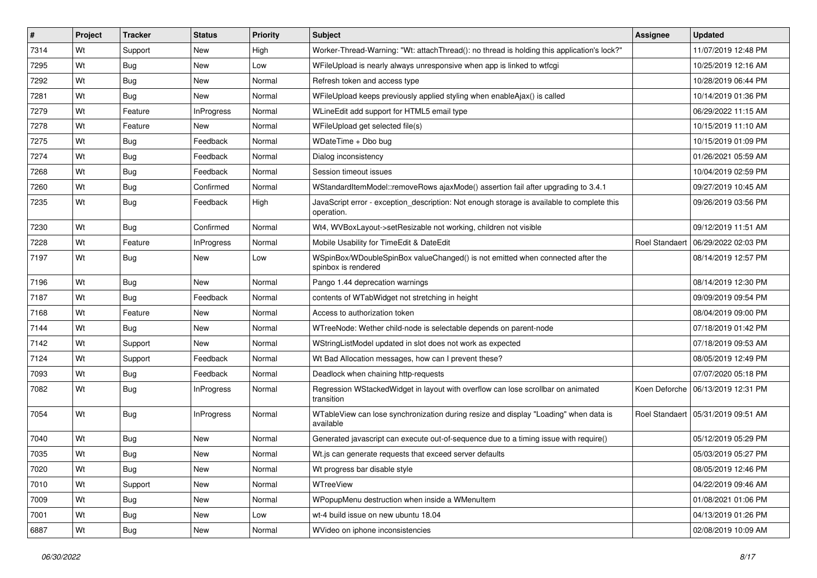| #    | Project | <b>Tracker</b> | <b>Status</b>     | <b>Priority</b> | Subject                                                                                                  | Assignee       | <b>Updated</b>                       |
|------|---------|----------------|-------------------|-----------------|----------------------------------------------------------------------------------------------------------|----------------|--------------------------------------|
| 7314 | Wt      | Support        | New               | High            | Worker-Thread-Warning: "Wt: attach Thread(): no thread is holding this application's lock?"              |                | 11/07/2019 12:48 PM                  |
| 7295 | Wt      | <b>Bug</b>     | <b>New</b>        | Low             | WFileUpload is nearly always unresponsive when app is linked to wtfcgi                                   |                | 10/25/2019 12:16 AM                  |
| 7292 | Wt      | <b>Bug</b>     | New               | Normal          | Refresh token and access type                                                                            |                | 10/28/2019 06:44 PM                  |
| 7281 | Wt      | <b>Bug</b>     | <b>New</b>        | Normal          | WFileUpload keeps previously applied styling when enableAjax() is called                                 |                | 10/14/2019 01:36 PM                  |
| 7279 | Wt      | Feature        | <b>InProgress</b> | Normal          | WLineEdit add support for HTML5 email type                                                               |                | 06/29/2022 11:15 AM                  |
| 7278 | Wt      | Feature        | New               | Normal          | WFileUpload get selected file(s)                                                                         |                | 10/15/2019 11:10 AM                  |
| 7275 | Wt      | Bug            | Feedback          | Normal          | WDateTime + Dbo bug                                                                                      |                | 10/15/2019 01:09 PM                  |
| 7274 | Wt      | Bug            | Feedback          | Normal          | Dialog inconsistency                                                                                     |                | 01/26/2021 05:59 AM                  |
| 7268 | Wt      | Bug            | Feedback          | Normal          | Session timeout issues                                                                                   |                | 10/04/2019 02:59 PM                  |
| 7260 | Wt      | Bug            | Confirmed         | Normal          | WStandardItemModel::removeRows ajaxMode() assertion fail after upgrading to 3.4.1                        |                | 09/27/2019 10:45 AM                  |
| 7235 | Wt      | <b>Bug</b>     | Feedback          | High            | JavaScript error - exception_description: Not enough storage is available to complete this<br>operation. |                | 09/26/2019 03:56 PM                  |
| 7230 | Wt      | Bug            | Confirmed         | Normal          | Wt4, WVBoxLayout->setResizable not working, children not visible                                         |                | 09/12/2019 11:51 AM                  |
| 7228 | Wt      | Feature        | <b>InProgress</b> | Normal          | Mobile Usability for TimeEdit & DateEdit                                                                 | Roel Standaert | 06/29/2022 02:03 PM                  |
| 7197 | Wt      | Bug            | <b>New</b>        | Low             | WSpinBox/WDoubleSpinBox valueChanged() is not emitted when connected after the<br>spinbox is rendered    |                | 08/14/2019 12:57 PM                  |
| 7196 | Wt      | Bug            | <b>New</b>        | Normal          | Pango 1.44 deprecation warnings                                                                          |                | 08/14/2019 12:30 PM                  |
| 7187 | Wt      | Bug            | Feedback          | Normal          | contents of WTabWidget not stretching in height                                                          |                | 09/09/2019 09:54 PM                  |
| 7168 | Wt      | Feature        | <b>New</b>        | Normal          | Access to authorization token                                                                            |                | 08/04/2019 09:00 PM                  |
| 7144 | Wt      | <b>Bug</b>     | New               | Normal          | WTreeNode: Wether child-node is selectable depends on parent-node                                        |                | 07/18/2019 01:42 PM                  |
| 7142 | Wt      | Support        | <b>New</b>        | Normal          | WStringListModel updated in slot does not work as expected                                               |                | 07/18/2019 09:53 AM                  |
| 7124 | Wt      | Support        | Feedback          | Normal          | Wt Bad Allocation messages, how can I prevent these?                                                     |                | 08/05/2019 12:49 PM                  |
| 7093 | Wt      | <b>Bug</b>     | Feedback          | Normal          | Deadlock when chaining http-requests                                                                     |                | 07/07/2020 05:18 PM                  |
| 7082 | Wt      | <b>Bug</b>     | <b>InProgress</b> | Normal          | Regression WStackedWidget in layout with overflow can lose scrollbar on animated<br>transition           |                | Koen Deforche   06/13/2019 12:31 PM  |
| 7054 | Wt      | Bug            | <b>InProgress</b> | Normal          | WTableView can lose synchronization during resize and display "Loading" when data is<br>available        |                | Roel Standaert   05/31/2019 09:51 AM |
| 7040 | Wt      | <b>Bug</b>     | New               | Normal          | Generated javascript can execute out-of-sequence due to a timing issue with require()                    |                | 05/12/2019 05:29 PM                  |
| 7035 | Wt      | Bug            | New               | Normal          | Wt.js can generate requests that exceed server defaults                                                  |                | 05/03/2019 05:27 PM                  |
| 7020 | Wt      | <b>Bug</b>     | New               | Normal          | Wt progress bar disable style                                                                            |                | 08/05/2019 12:46 PM                  |
| 7010 | Wt      | Support        | New               | Normal          | WTreeView                                                                                                |                | 04/22/2019 09:46 AM                  |
| 7009 | Wt      | Bug            | New               | Normal          | WPopupMenu destruction when inside a WMenuItem                                                           |                | 01/08/2021 01:06 PM                  |
| 7001 | Wt      | <b>Bug</b>     | New               | Low             | wt-4 build issue on new ubuntu 18.04                                                                     |                | 04/13/2019 01:26 PM                  |
| 6887 | Wt      | Bug            | New               | Normal          | WVideo on iphone inconsistencies                                                                         |                | 02/08/2019 10:09 AM                  |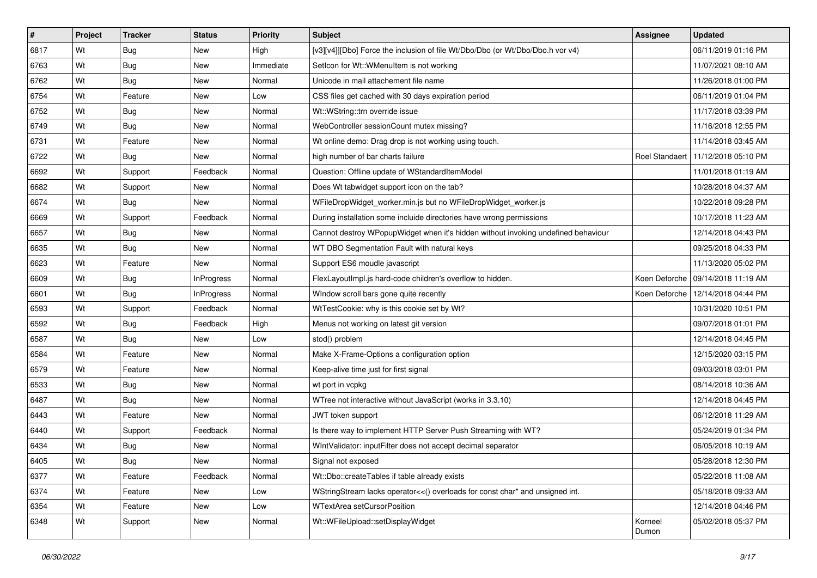| #    | Project | <b>Tracker</b> | <b>Status</b>     | <b>Priority</b> | <b>Subject</b>                                                                    | <b>Assignee</b>       | Updated                             |
|------|---------|----------------|-------------------|-----------------|-----------------------------------------------------------------------------------|-----------------------|-------------------------------------|
| 6817 | Wt      | Bug            | New               | High            | [v3][v4]][Dbo] Force the inclusion of file Wt/Dbo/Dbo (or Wt/Dbo/Dbo.h vor v4)    |                       | 06/11/2019 01:16 PM                 |
| 6763 | Wt      | Bug            | New               | Immediate       | SetIcon for Wt:: WMenuItem is not working                                         |                       | 11/07/2021 08:10 AM                 |
| 6762 | Wt      | Bug            | New               | Normal          | Unicode in mail attachement file name                                             |                       | 11/26/2018 01:00 PM                 |
| 6754 | Wt      | Feature        | New               | Low             | CSS files get cached with 30 days expiration period                               |                       | 06/11/2019 01:04 PM                 |
| 6752 | Wt      | Bug            | New               | Normal          | Wt::WString::trn override issue                                                   |                       | 11/17/2018 03:39 PM                 |
| 6749 | Wt      | Bug            | New               | Normal          | WebController sessionCount mutex missing?                                         |                       | 11/16/2018 12:55 PM                 |
| 6731 | Wt      | Feature        | New               | Normal          | Wt online demo: Drag drop is not working using touch.                             |                       | 11/14/2018 03:45 AM                 |
| 6722 | Wt      | Bug            | New               | Normal          | high number of bar charts failure                                                 | <b>Roel Standaert</b> | 11/12/2018 05:10 PM                 |
| 6692 | Wt      | Support        | Feedback          | Normal          | Question: Offline update of WStandardItemModel                                    |                       | 11/01/2018 01:19 AM                 |
| 6682 | Wt      | Support        | New               | Normal          | Does Wt tabwidget support icon on the tab?                                        |                       | 10/28/2018 04:37 AM                 |
| 6674 | Wt      | Bug            | New               | Normal          | WFileDropWidget_worker.min.js but no WFileDropWidget_worker.js                    |                       | 10/22/2018 09:28 PM                 |
| 6669 | Wt      | Support        | Feedback          | Normal          | During installation some incluide directories have wrong permissions              |                       | 10/17/2018 11:23 AM                 |
| 6657 | Wt      | Bug            | <b>New</b>        | Normal          | Cannot destroy WPopupWidget when it's hidden without invoking undefined behaviour |                       | 12/14/2018 04:43 PM                 |
| 6635 | Wt      | Bug            | New               | Normal          | WT DBO Segmentation Fault with natural keys                                       |                       | 09/25/2018 04:33 PM                 |
| 6623 | Wt      | Feature        | <b>New</b>        | Normal          | Support ES6 moudle javascript                                                     |                       | 11/13/2020 05:02 PM                 |
| 6609 | Wt      | Bug            | <b>InProgress</b> | Normal          | FlexLayoutImpl.js hard-code children's overflow to hidden.                        |                       | Koen Deforche   09/14/2018 11:19 AM |
| 6601 | Wt      | Bug            | <b>InProgress</b> | Normal          | WIndow scroll bars gone quite recently                                            | Koen Deforche         | 12/14/2018 04:44 PM                 |
| 6593 | Wt      | Support        | Feedback          | Normal          | WtTestCookie: why is this cookie set by Wt?                                       |                       | 10/31/2020 10:51 PM                 |
| 6592 | Wt      | <b>Bug</b>     | Feedback          | High            | Menus not working on latest git version                                           |                       | 09/07/2018 01:01 PM                 |
| 6587 | Wt      | Bug            | New               | Low             | stod() problem                                                                    |                       | 12/14/2018 04:45 PM                 |
| 6584 | Wt      | Feature        | New               | Normal          | Make X-Frame-Options a configuration option                                       |                       | 12/15/2020 03:15 PM                 |
| 6579 | Wt      | Feature        | New               | Normal          | Keep-alive time just for first signal                                             |                       | 09/03/2018 03:01 PM                 |
| 6533 | Wt      | Bug            | New               | Normal          | wt port in vcpkg                                                                  |                       | 08/14/2018 10:36 AM                 |
| 6487 | Wt      | <b>Bug</b>     | New               | Normal          | WTree not interactive without JavaScript (works in 3.3.10)                        |                       | 12/14/2018 04:45 PM                 |
| 6443 | Wt      | Feature        | New               | Normal          | JWT token support                                                                 |                       | 06/12/2018 11:29 AM                 |
| 6440 | Wt      | Support        | Feedback          | Normal          | Is there way to implement HTTP Server Push Streaming with WT?                     |                       | 05/24/2019 01:34 PM                 |
| 6434 | Wt      | <b>Bug</b>     | New               | Normal          | WIntValidator: inputFilter does not accept decimal separator                      |                       | 06/05/2018 10:19 AM                 |
| 6405 | Wt      | <b>Bug</b>     | New               | Normal          | Signal not exposed                                                                |                       | 05/28/2018 12:30 PM                 |
| 6377 | Wt      | Feature        | Feedback          | Normal          | Wt::Dbo::createTables if table already exists                                     |                       | 05/22/2018 11:08 AM                 |
| 6374 | Wt      | Feature        | New               | Low             | WStringStream lacks operator<<() overloads for const char* and unsigned int.      |                       | 05/18/2018 09:33 AM                 |
| 6354 | Wt      | Feature        | New               | Low             | WTextArea setCursorPosition                                                       |                       | 12/14/2018 04:46 PM                 |
| 6348 | Wt      | Support        | New               | Normal          | Wt::WFileUpload::setDisplayWidget                                                 | Korneel<br>Dumon      | 05/02/2018 05:37 PM                 |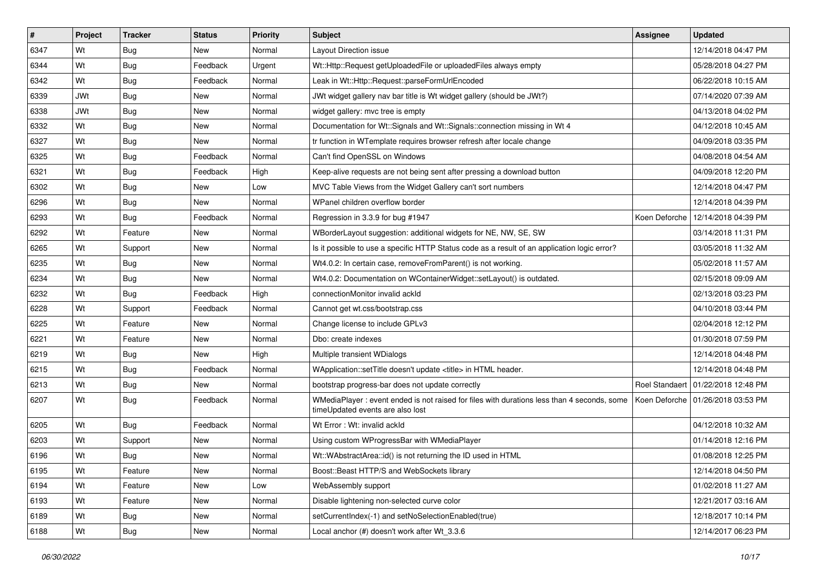| #    | Project    | <b>Tracker</b> | <b>Status</b> | <b>Priority</b> | Subject                                                                                                                        | <b>Assignee</b> | <b>Updated</b>                       |
|------|------------|----------------|---------------|-----------------|--------------------------------------------------------------------------------------------------------------------------------|-----------------|--------------------------------------|
| 6347 | Wt         | Bug            | New           | Normal          | Layout Direction issue                                                                                                         |                 | 12/14/2018 04:47 PM                  |
| 6344 | Wt         | Bug            | Feedback      | Urgent          | Wt::Http::Request getUploadedFile or uploadedFiles always empty                                                                |                 | 05/28/2018 04:27 PM                  |
| 6342 | Wt         | Bug            | Feedback      | Normal          | Leak in Wt::Http::Request::parseFormUrlEncoded                                                                                 |                 | 06/22/2018 10:15 AM                  |
| 6339 | <b>JWt</b> | Bug            | <b>New</b>    | Normal          | JWt widget gallery nav bar title is Wt widget gallery (should be JWt?)                                                         |                 | 07/14/2020 07:39 AM                  |
| 6338 | <b>JWt</b> | <b>Bug</b>     | New           | Normal          | widget gallery: mvc tree is empty                                                                                              |                 | 04/13/2018 04:02 PM                  |
| 6332 | Wt         | Bug            | New           | Normal          | Documentation for Wt::Signals and Wt::Signals::connection missing in Wt 4                                                      |                 | 04/12/2018 10:45 AM                  |
| 6327 | Wt         | <b>Bug</b>     | New           | Normal          | tr function in WTemplate requires browser refresh after locale change                                                          |                 | 04/09/2018 03:35 PM                  |
| 6325 | Wt         | Bug            | Feedback      | Normal          | Can't find OpenSSL on Windows                                                                                                  |                 | 04/08/2018 04:54 AM                  |
| 6321 | Wt         | Bug            | Feedback      | High            | Keep-alive requests are not being sent after pressing a download button                                                        |                 | 04/09/2018 12:20 PM                  |
| 6302 | Wt         | <b>Bug</b>     | New           | Low             | MVC Table Views from the Widget Gallery can't sort numbers                                                                     |                 | 12/14/2018 04:47 PM                  |
| 6296 | Wt         | Bug            | New           | Normal          | WPanel children overflow border                                                                                                |                 | 12/14/2018 04:39 PM                  |
| 6293 | Wt         | Bug            | Feedback      | Normal          | Regression in 3.3.9 for bug #1947                                                                                              | Koen Deforche   | 12/14/2018 04:39 PM                  |
| 6292 | Wt         | Feature        | <b>New</b>    | Normal          | WBorderLayout suggestion: additional widgets for NE, NW, SE, SW                                                                |                 | 03/14/2018 11:31 PM                  |
| 6265 | Wt         | Support        | New           | Normal          | Is it possible to use a specific HTTP Status code as a result of an application logic error?                                   |                 | 03/05/2018 11:32 AM                  |
| 6235 | Wt         | Bug            | New           | Normal          | Wt4.0.2: In certain case, removeFromParent() is not working.                                                                   |                 | 05/02/2018 11:57 AM                  |
| 6234 | Wt         | Bug            | New           | Normal          | Wt4.0.2: Documentation on WContainerWidget::setLayout() is outdated.                                                           |                 | 02/15/2018 09:09 AM                  |
| 6232 | Wt         | Bug            | Feedback      | High            | connectionMonitor invalid ackId                                                                                                |                 | 02/13/2018 03:23 PM                  |
| 6228 | Wt         | Support        | Feedback      | Normal          | Cannot get wt.css/bootstrap.css                                                                                                |                 | 04/10/2018 03:44 PM                  |
| 6225 | Wt         | Feature        | New           | Normal          | Change license to include GPLv3                                                                                                |                 | 02/04/2018 12:12 PM                  |
| 6221 | Wt         | Feature        | New           | Normal          | Dbo: create indexes                                                                                                            |                 | 01/30/2018 07:59 PM                  |
| 6219 | Wt         | Bug            | New           | High            | Multiple transient WDialogs                                                                                                    |                 | 12/14/2018 04:48 PM                  |
| 6215 | Wt         | Bug            | Feedback      | Normal          | WApplication::setTitle doesn't update <title> in HTML header.</title>                                                          |                 | 12/14/2018 04:48 PM                  |
| 6213 | Wt         | <b>Bug</b>     | New           | Normal          | bootstrap progress-bar does not update correctly                                                                               |                 | Roel Standaert   01/22/2018 12:48 PM |
| 6207 | Wt         | Bug            | Feedback      | Normal          | WMediaPlayer: event ended is not raised for files with durations less than 4 seconds, some<br>timeUpdated events are also lost | Koen Deforche   | 01/26/2018 03:53 PM                  |
| 6205 | Wt         | <b>Bug</b>     | Feedback      | Normal          | Wt Error: Wt: invalid ackId                                                                                                    |                 | 04/12/2018 10:32 AM                  |
| 6203 | Wt         | Support        | New           | Normal          | Using custom WProgressBar with WMediaPlayer                                                                                    |                 | 01/14/2018 12:16 PM                  |
| 6196 | Wt         | Bug            | New           | Normal          | Wt::WAbstractArea::id() is not returning the ID used in HTML                                                                   |                 | 01/08/2018 12:25 PM                  |
| 6195 | Wt         | Feature        | New           | Normal          | Boost::Beast HTTP/S and WebSockets library                                                                                     |                 | 12/14/2018 04:50 PM                  |
| 6194 | Wt         | Feature        | New           | Low             | WebAssembly support                                                                                                            |                 | 01/02/2018 11:27 AM                  |
| 6193 | Wt         | Feature        | New           | Normal          | Disable lightening non-selected curve color                                                                                    |                 | 12/21/2017 03:16 AM                  |
| 6189 | Wt         | <b>Bug</b>     | New           | Normal          | setCurrentIndex(-1) and setNoSelectionEnabled(true)                                                                            |                 | 12/18/2017 10:14 PM                  |
| 6188 | Wt         | <b>Bug</b>     | New           | Normal          | Local anchor (#) doesn't work after Wt_3.3.6                                                                                   |                 | 12/14/2017 06:23 PM                  |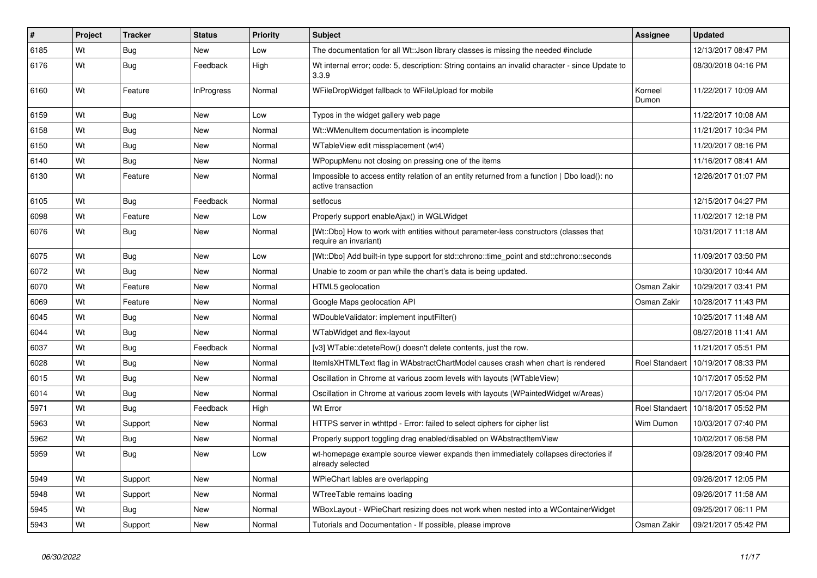| #    | Project | <b>Tracker</b> | <b>Status</b>     | <b>Priority</b> | <b>Subject</b>                                                                                                    | <b>Assignee</b>       | <b>Updated</b>      |
|------|---------|----------------|-------------------|-----------------|-------------------------------------------------------------------------------------------------------------------|-----------------------|---------------------|
| 6185 | Wt      | <b>Bug</b>     | <b>New</b>        | Low             | The documentation for all Wt:: Json library classes is missing the needed #include                                |                       | 12/13/2017 08:47 PM |
| 6176 | Wt      | Bug            | Feedback          | High            | Wt internal error; code: 5, description: String contains an invalid character - since Update to<br>3.3.9          |                       | 08/30/2018 04:16 PM |
| 6160 | Wt      | Feature        | <b>InProgress</b> | Normal          | WFileDropWidget fallback to WFileUpload for mobile                                                                | Korneel<br>Dumon      | 11/22/2017 10:09 AM |
| 6159 | Wt      | Bug            | <b>New</b>        | Low             | Typos in the widget gallery web page                                                                              |                       | 11/22/2017 10:08 AM |
| 6158 | Wt      | <b>Bug</b>     | <b>New</b>        | Normal          | Wt:: WMenuItem documentation is incomplete                                                                        |                       | 11/21/2017 10:34 PM |
| 6150 | Wt      | <b>Bug</b>     | <b>New</b>        | Normal          | WTableView edit missplacement (wt4)                                                                               |                       | 11/20/2017 08:16 PM |
| 6140 | Wt      | <b>Bug</b>     | New               | Normal          | WPopupMenu not closing on pressing one of the items                                                               |                       | 11/16/2017 08:41 AM |
| 6130 | Wt      | Feature        | <b>New</b>        | Normal          | Impossible to access entity relation of an entity returned from a function   Dbo load(): no<br>active transaction |                       | 12/26/2017 01:07 PM |
| 6105 | Wt      | Bug            | Feedback          | Normal          | setfocus                                                                                                          |                       | 12/15/2017 04:27 PM |
| 6098 | Wt      | Feature        | <b>New</b>        | Low             | Properly support enableAjax() in WGLWidget                                                                        |                       | 11/02/2017 12:18 PM |
| 6076 | Wt      | <b>Bug</b>     | New               | Normal          | [Wt::Dbo] How to work with entities without parameter-less constructors (classes that<br>require an invariant)    |                       | 10/31/2017 11:18 AM |
| 6075 | Wt      | Bug            | New               | Low             | [Wt::Dbo] Add built-in type support for std::chrono::time point and std::chrono::seconds                          |                       | 11/09/2017 03:50 PM |
| 6072 | Wt      | Bug            | New               | Normal          | Unable to zoom or pan while the chart's data is being updated.                                                    |                       | 10/30/2017 10:44 AM |
| 6070 | Wt      | Feature        | <b>New</b>        | Normal          | HTML5 geolocation                                                                                                 | Osman Zakir           | 10/29/2017 03:41 PM |
| 6069 | Wt      | Feature        | <b>New</b>        | Normal          | Google Maps geolocation API                                                                                       | Osman Zakir           | 10/28/2017 11:43 PM |
| 6045 | Wt      | Bug            | <b>New</b>        | Normal          | WDoubleValidator: implement inputFilter()                                                                         |                       | 10/25/2017 11:48 AM |
| 6044 | Wt      | Bug            | New               | Normal          | WTabWidget and flex-layout                                                                                        |                       | 08/27/2018 11:41 AM |
| 6037 | Wt      | Bug            | Feedback          | Normal          | [v3] WTable::deteteRow() doesn't delete contents, just the row.                                                   |                       | 11/21/2017 05:51 PM |
| 6028 | Wt      | <b>Bug</b>     | New               | Normal          | ItemIsXHTMLText flag in WAbstractChartModel causes crash when chart is rendered                                   | <b>Roel Standaert</b> | 10/19/2017 08:33 PM |
| 6015 | Wt      | <b>Bug</b>     | <b>New</b>        | Normal          | Oscillation in Chrome at various zoom levels with layouts (WTableView)                                            |                       | 10/17/2017 05:52 PM |
| 6014 | Wt      | <b>Bug</b>     | <b>New</b>        | Normal          | Oscillation in Chrome at various zoom levels with layouts (WPaintedWidget w/Areas)                                |                       | 10/17/2017 05:04 PM |
| 5971 | Wt      | Bug            | Feedback          | High            | Wt Error                                                                                                          | <b>Roel Standaert</b> | 10/18/2017 05:52 PM |
| 5963 | Wt      | Support        | New               | Normal          | HTTPS server in wthttpd - Error: failed to select ciphers for cipher list                                         | Wim Dumon             | 10/03/2017 07:40 PM |
| 5962 | Wt      | <b>Bug</b>     | <b>New</b>        | Normal          | Properly support toggling drag enabled/disabled on WAbstractItemView                                              |                       | 10/02/2017 06:58 PM |
| 5959 | Wt      | Bug            | New               | Low             | wt-homepage example source viewer expands then immediately collapses directories if<br>already selected           |                       | 09/28/2017 09:40 PM |
| 5949 | Wt      | Support        | New               | Normal          | WPieChart lables are overlapping                                                                                  |                       | 09/26/2017 12:05 PM |
| 5948 | Wt      | Support        | New               | Normal          | WTreeTable remains loading                                                                                        |                       | 09/26/2017 11:58 AM |
| 5945 | Wt      | Bug            | New               | Normal          | WBoxLayout - WPieChart resizing does not work when nested into a WContainerWidget                                 |                       | 09/25/2017 06:11 PM |
| 5943 | Wt      | Support        | <b>New</b>        | Normal          | Tutorials and Documentation - If possible, please improve                                                         | Osman Zakir           | 09/21/2017 05:42 PM |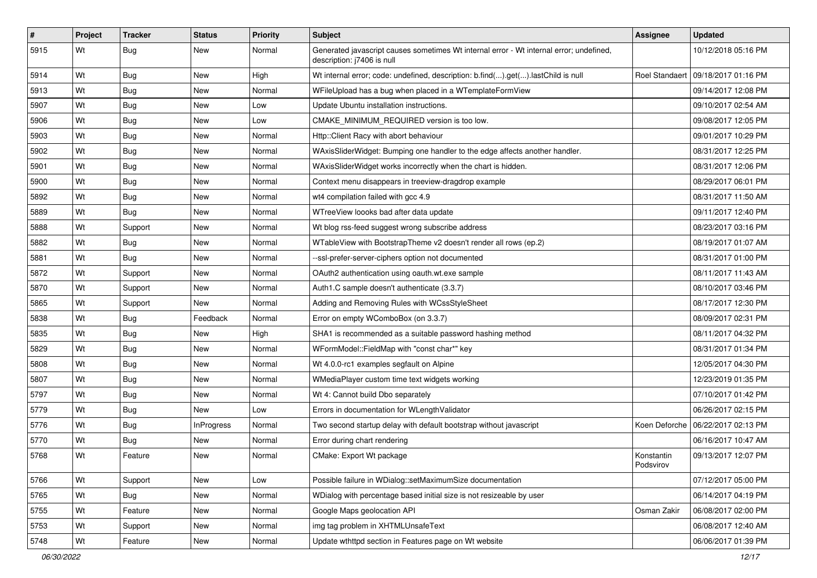| $\vert$ # | Project | <b>Tracker</b> | <b>Status</b> | Priority | Subject                                                                                                               | Assignee                | <b>Updated</b>      |
|-----------|---------|----------------|---------------|----------|-----------------------------------------------------------------------------------------------------------------------|-------------------------|---------------------|
| 5915      | Wt      | Bug            | New           | Normal   | Generated javascript causes sometimes Wt internal error - Wt internal error; undefined,<br>description: j7406 is null |                         | 10/12/2018 05:16 PM |
| 5914      | Wt      | Bug            | New           | High     | Wt internal error; code: undefined, description: b.find().get().lastChild is null                                     | <b>Roel Standaert</b>   | 09/18/2017 01:16 PM |
| 5913      | Wt      | Bug            | New           | Normal   | WFileUpload has a bug when placed in a WTemplateFormView                                                              |                         | 09/14/2017 12:08 PM |
| 5907      | Wt      | Bug            | New           | Low      | Update Ubuntu installation instructions.                                                                              |                         | 09/10/2017 02:54 AM |
| 5906      | Wt      | Bug            | New           | Low      | CMAKE MINIMUM REQUIRED version is too low.                                                                            |                         | 09/08/2017 12:05 PM |
| 5903      | Wt      | Bug            | New           | Normal   | Http::Client Racy with abort behaviour                                                                                |                         | 09/01/2017 10:29 PM |
| 5902      | Wt      | Bug            | <b>New</b>    | Normal   | WAxisSliderWidget: Bumping one handler to the edge affects another handler.                                           |                         | 08/31/2017 12:25 PM |
| 5901      | Wt      | Bug            | New           | Normal   | WAxisSliderWidget works incorrectly when the chart is hidden.                                                         |                         | 08/31/2017 12:06 PM |
| 5900      | Wt      | Bug            | New           | Normal   | Context menu disappears in treeview-dragdrop example                                                                  |                         | 08/29/2017 06:01 PM |
| 5892      | Wt      | Bug            | New           | Normal   | wt4 compilation failed with gcc 4.9                                                                                   |                         | 08/31/2017 11:50 AM |
| 5889      | Wt      | Bug            | New           | Normal   | WTreeView loooks bad after data update                                                                                |                         | 09/11/2017 12:40 PM |
| 5888      | Wt      | Support        | <b>New</b>    | Normal   | Wt blog rss-feed suggest wrong subscribe address                                                                      |                         | 08/23/2017 03:16 PM |
| 5882      | Wt      | <b>Bug</b>     | New           | Normal   | WTableView with BootstrapTheme v2 doesn't render all rows (ep.2)                                                      |                         | 08/19/2017 01:07 AM |
| 5881      | Wt      | <b>Bug</b>     | New           | Normal   | --ssl-prefer-server-ciphers option not documented                                                                     |                         | 08/31/2017 01:00 PM |
| 5872      | Wt      | Support        | New           | Normal   | OAuth2 authentication using oauth.wt.exe sample                                                                       |                         | 08/11/2017 11:43 AM |
| 5870      | Wt      | Support        | New           | Normal   | Auth1.C sample doesn't authenticate (3.3.7)                                                                           |                         | 08/10/2017 03:46 PM |
| 5865      | Wt      | Support        | <b>New</b>    | Normal   | Adding and Removing Rules with WCssStyleSheet                                                                         |                         | 08/17/2017 12:30 PM |
| 5838      | Wt      | <b>Bug</b>     | Feedback      | Normal   | Error on empty WComboBox (on 3.3.7)                                                                                   |                         | 08/09/2017 02:31 PM |
| 5835      | Wt      | Bug            | <b>New</b>    | High     | SHA1 is recommended as a suitable password hashing method                                                             |                         | 08/11/2017 04:32 PM |
| 5829      | Wt      | Bug            | <b>New</b>    | Normal   | WFormModel::FieldMap with "const char*" key                                                                           |                         | 08/31/2017 01:34 PM |
| 5808      | Wt      | <b>Bug</b>     | New           | Normal   | Wt 4.0.0-rc1 examples segfault on Alpine                                                                              |                         | 12/05/2017 04:30 PM |
| 5807      | Wt      | <b>Bug</b>     | New           | Normal   | WMediaPlayer custom time text widgets working                                                                         |                         | 12/23/2019 01:35 PM |
| 5797      | Wt      | Bug            | New           | Normal   | Wt 4: Cannot build Dbo separately                                                                                     |                         | 07/10/2017 01:42 PM |
| 5779      | Wt      | Bug            | New           | Low      | Errors in documentation for WLengthValidator                                                                          |                         | 06/26/2017 02:15 PM |
| 5776      | Wt      | <b>Bug</b>     | InProgress    | Normal   | Two second startup delay with default bootstrap without javascript                                                    | Koen Deforche           | 06/22/2017 02:13 PM |
| 5770      | Wt      | Bug            | New           | Normal   | Error during chart rendering                                                                                          |                         | 06/16/2017 10:47 AM |
| 5768      | Wt      | Feature        | New           | Normal   | CMake: Export Wt package                                                                                              | Konstantin<br>Podsvirov | 09/13/2017 12:07 PM |
| 5766      | Wt      | Support        | New           | Low      | Possible failure in WDialog::setMaximumSize documentation                                                             |                         | 07/12/2017 05:00 PM |
| 5765      | Wt      | Bug            | New           | Normal   | WDialog with percentage based initial size is not resizeable by user                                                  |                         | 06/14/2017 04:19 PM |
| 5755      | Wt      | Feature        | New           | Normal   | Google Maps geolocation API                                                                                           | Osman Zakir             | 06/08/2017 02:00 PM |
| 5753      | Wt      | Support        | New           | Normal   | img tag problem in XHTMLUnsafeText                                                                                    |                         | 06/08/2017 12:40 AM |
| 5748      | Wt      | Feature        | New           | Normal   | Update wthttpd section in Features page on Wt website                                                                 |                         | 06/06/2017 01:39 PM |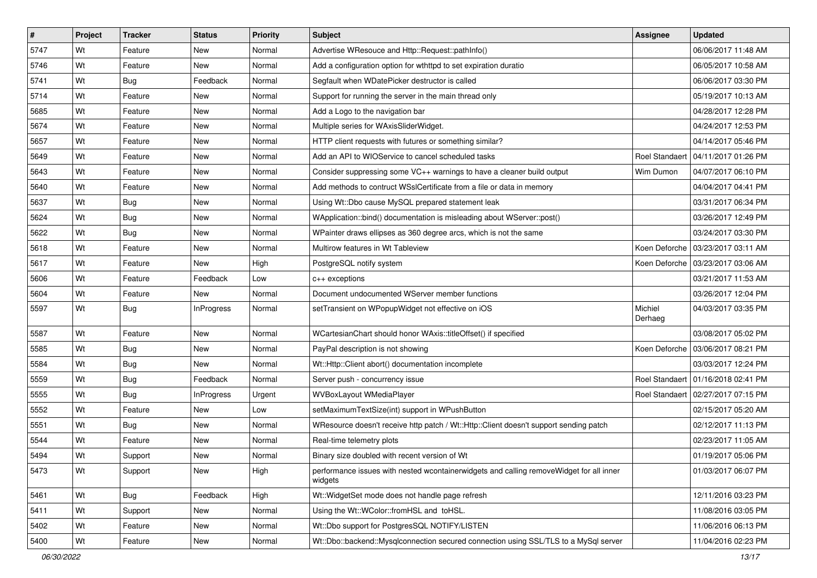| #    | Project | <b>Tracker</b> | <b>Status</b> | Priority | Subject                                                                                            | <b>Assignee</b>       | <b>Updated</b>                       |
|------|---------|----------------|---------------|----------|----------------------------------------------------------------------------------------------------|-----------------------|--------------------------------------|
| 5747 | Wt      | Feature        | New           | Normal   | Advertise WResouce and Http::Request::pathInfo()                                                   |                       | 06/06/2017 11:48 AM                  |
| 5746 | Wt      | Feature        | New           | Normal   | Add a configuration option for wthttpd to set expiration duratio                                   |                       | 06/05/2017 10:58 AM                  |
| 5741 | Wt      | <b>Bug</b>     | Feedback      | Normal   | Segfault when WDatePicker destructor is called                                                     |                       | 06/06/2017 03:30 PM                  |
| 5714 | Wt      | Feature        | New           | Normal   | Support for running the server in the main thread only                                             |                       | 05/19/2017 10:13 AM                  |
| 5685 | Wt      | Feature        | <b>New</b>    | Normal   | Add a Logo to the navigation bar                                                                   |                       | 04/28/2017 12:28 PM                  |
| 5674 | Wt      | Feature        | New           | Normal   | Multiple series for WAxisSliderWidget.                                                             |                       | 04/24/2017 12:53 PM                  |
| 5657 | Wt      | Feature        | New           | Normal   | HTTP client requests with futures or something similar?                                            |                       | 04/14/2017 05:46 PM                  |
| 5649 | Wt      | Feature        | <b>New</b>    | Normal   | Add an API to WIOService to cancel scheduled tasks                                                 | <b>Roel Standaert</b> | 04/11/2017 01:26 PM                  |
| 5643 | Wt      | Feature        | New           | Normal   | Consider suppressing some VC++ warnings to have a cleaner build output                             | Wim Dumon             | 04/07/2017 06:10 PM                  |
| 5640 | Wt      | Feature        | New           | Normal   | Add methods to contruct WSslCertificate from a file or data in memory                              |                       | 04/04/2017 04:41 PM                  |
| 5637 | Wt      | <b>Bug</b>     | New           | Normal   | Using Wt::Dbo cause MySQL prepared statement leak                                                  |                       | 03/31/2017 06:34 PM                  |
| 5624 | Wt      | Bug            | New           | Normal   | WApplication::bind() documentation is misleading about WServer::post()                             |                       | 03/26/2017 12:49 PM                  |
| 5622 | Wt      | Bug            | <b>New</b>    | Normal   | WPainter draws ellipses as 360 degree arcs, which is not the same                                  |                       | 03/24/2017 03:30 PM                  |
| 5618 | Wt      | Feature        | New           | Normal   | Multirow features in Wt Tableview                                                                  |                       | Koen Deforche   03/23/2017 03:11 AM  |
| 5617 | Wt      | Feature        | New           | High     | PostgreSQL notify system                                                                           |                       | Koen Deforche 103/23/2017 03:06 AM   |
| 5606 | Wt      | Feature        | Feedback      | Low      | c++ exceptions                                                                                     |                       | 03/21/2017 11:53 AM                  |
| 5604 | Wt      | Feature        | New           | Normal   | Document undocumented WServer member functions                                                     |                       | 03/26/2017 12:04 PM                  |
| 5597 | Wt      | Bug            | InProgress    | Normal   | setTransient on WPopupWidget not effective on iOS                                                  | Michiel<br>Derhaeg    | 04/03/2017 03:35 PM                  |
| 5587 | Wt      | Feature        | <b>New</b>    | Normal   | WCartesianChart should honor WAxis::titleOffset() if specified                                     |                       | 03/08/2017 05:02 PM                  |
| 5585 | Wt      | <b>Bug</b>     | <b>New</b>    | Normal   | PayPal description is not showing                                                                  |                       | Koen Deforche   03/06/2017 08:21 PM  |
| 5584 | Wt      | <b>Bug</b>     | New           | Normal   | Wt::Http::Client abort() documentation incomplete                                                  |                       | 03/03/2017 12:24 PM                  |
| 5559 | Wt      | Bug            | Feedback      | Normal   | Server push - concurrency issue                                                                    |                       | Roel Standaert   01/16/2018 02:41 PM |
| 5555 | Wt      | <b>Bug</b>     | InProgress    | Urgent   | WVBoxLayout WMediaPlayer                                                                           |                       | Roel Standaert   02/27/2017 07:15 PM |
| 5552 | Wt      | Feature        | <b>New</b>    | Low      | setMaximumTextSize(int) support in WPushButton                                                     |                       | 02/15/2017 05:20 AM                  |
| 5551 | Wt      | Bug            | <b>New</b>    | Normal   | WResource doesn't receive http patch / Wt::Http::Client doesn't support sending patch              |                       | 02/12/2017 11:13 PM                  |
| 5544 | Wt      | Feature        | New           | Normal   | Real-time telemetry plots                                                                          |                       | 02/23/2017 11:05 AM                  |
| 5494 | Wt      | Support        | New           | Normal   | Binary size doubled with recent version of Wt                                                      |                       | 01/19/2017 05:06 PM                  |
| 5473 | Wt      | Support        | New           | High     | performance issues with nested wcontainerwidgets and calling removeWidget for all inner<br>widgets |                       | 01/03/2017 06:07 PM                  |
| 5461 | Wt      | Bug            | Feedback      | High     | Wt:: WidgetSet mode does not handle page refresh                                                   |                       | 12/11/2016 03:23 PM                  |
| 5411 | Wt      | Support        | New           | Normal   | Using the Wt::WColor::fromHSL and toHSL.                                                           |                       | 11/08/2016 03:05 PM                  |
| 5402 | Wt      | Feature        | New           | Normal   | Wt::Dbo support for PostgresSQL NOTIFY/LISTEN                                                      |                       | 11/06/2016 06:13 PM                  |
| 5400 | Wt      | Feature        | New           | Normal   | Wt::Dbo::backend::Mysqlconnection secured connection using SSL/TLS to a MySql server               |                       | 11/04/2016 02:23 PM                  |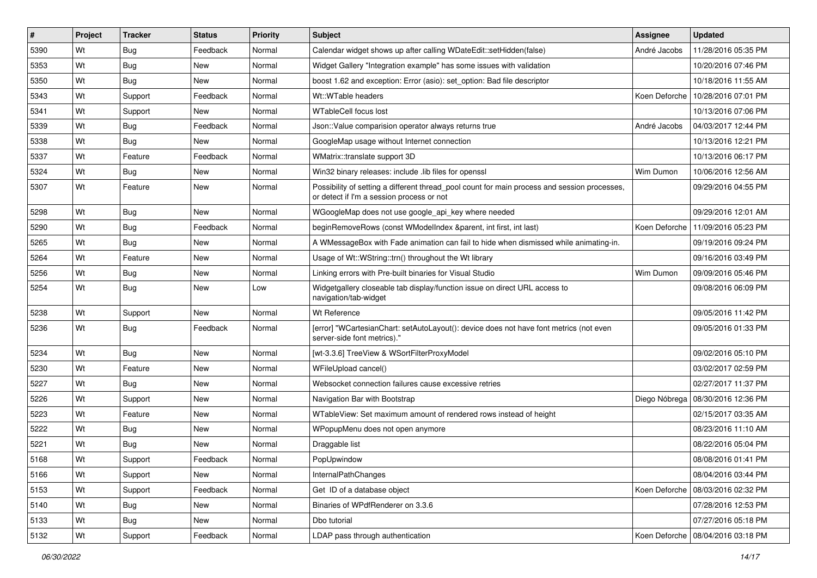| #    | Project | <b>Tracker</b> | <b>Status</b> | Priority | Subject                                                                                                                                   | <b>Assignee</b> | <b>Updated</b>                      |
|------|---------|----------------|---------------|----------|-------------------------------------------------------------------------------------------------------------------------------------------|-----------------|-------------------------------------|
| 5390 | Wt      | Bug            | Feedback      | Normal   | Calendar widget shows up after calling WDateEdit::setHidden(false)                                                                        | André Jacobs    | 11/28/2016 05:35 PM                 |
| 5353 | Wt      | Bug            | <b>New</b>    | Normal   | Widget Gallery "Integration example" has some issues with validation                                                                      |                 | 10/20/2016 07:46 PM                 |
| 5350 | Wt      | Bug            | New           | Normal   | boost 1.62 and exception: Error (asio): set option: Bad file descriptor                                                                   |                 | 10/18/2016 11:55 AM                 |
| 5343 | Wt      | Support        | Feedback      | Normal   | Wt::WTable headers                                                                                                                        | Koen Deforche   | 10/28/2016 07:01 PM                 |
| 5341 | Wt      | Support        | <b>New</b>    | Normal   | <b>WTableCell focus lost</b>                                                                                                              |                 | 10/13/2016 07:06 PM                 |
| 5339 | Wt      | <b>Bug</b>     | Feedback      | Normal   | Json::Value comparision operator always returns true                                                                                      | André Jacobs    | 04/03/2017 12:44 PM                 |
| 5338 | Wt      | Bug            | New           | Normal   | GoogleMap usage without Internet connection                                                                                               |                 | 10/13/2016 12:21 PM                 |
| 5337 | Wt      | Feature        | Feedback      | Normal   | WMatrix::translate support 3D                                                                                                             |                 | 10/13/2016 06:17 PM                 |
| 5324 | Wt      | <b>Bug</b>     | <b>New</b>    | Normal   | Win32 binary releases: include .lib files for openssl                                                                                     | Wim Dumon       | 10/06/2016 12:56 AM                 |
| 5307 | Wt      | Feature        | New           | Normal   | Possibility of setting a different thread_pool count for main process and session processes,<br>or detect if I'm a session process or not |                 | 09/29/2016 04:55 PM                 |
| 5298 | Wt      | <b>Bug</b>     | <b>New</b>    | Normal   | WGoogleMap does not use google_api_key where needed                                                                                       |                 | 09/29/2016 12:01 AM                 |
| 5290 | Wt      | Bug            | Feedback      | Normal   | beginRemoveRows (const WModelIndex &parent, int first, int last)                                                                          | Koen Deforche   | 11/09/2016 05:23 PM                 |
| 5265 | Wt      | <b>Bug</b>     | New           | Normal   | A WMessageBox with Fade animation can fail to hide when dismissed while animating-in.                                                     |                 | 09/19/2016 09:24 PM                 |
| 5264 | Wt      | Feature        | <b>New</b>    | Normal   | Usage of Wt::WString::trn() throughout the Wt library                                                                                     |                 | 09/16/2016 03:49 PM                 |
| 5256 | Wt      | <b>Bug</b>     | New           | Normal   | Linking errors with Pre-built binaries for Visual Studio                                                                                  | Wim Dumon       | 09/09/2016 05:46 PM                 |
| 5254 | Wt      | <b>Bug</b>     | New           | Low      | Widgetgallery closeable tab display/function issue on direct URL access to<br>navigation/tab-widget                                       |                 | 09/08/2016 06:09 PM                 |
| 5238 | Wt      | Support        | <b>New</b>    | Normal   | Wt Reference                                                                                                                              |                 | 09/05/2016 11:42 PM                 |
| 5236 | Wt      | <b>Bug</b>     | Feedback      | Normal   | [error] "WCartesianChart: setAutoLayout(): device does not have font metrics (not even<br>server-side font metrics)."                     |                 | 09/05/2016 01:33 PM                 |
| 5234 | Wt      | Bug            | New           | Normal   | [wt-3.3.6] TreeView & WSortFilterProxyModel                                                                                               |                 | 09/02/2016 05:10 PM                 |
| 5230 | Wt      | Feature        | <b>New</b>    | Normal   | WFileUpload cancel()                                                                                                                      |                 | 03/02/2017 02:59 PM                 |
| 5227 | Wt      | <b>Bug</b>     | New           | Normal   | Websocket connection failures cause excessive retries                                                                                     |                 | 02/27/2017 11:37 PM                 |
| 5226 | Wt      | Support        | New           | Normal   | Navigation Bar with Bootstrap                                                                                                             |                 | Diego Nóbrega   08/30/2016 12:36 PM |
| 5223 | Wt      | Feature        | <b>New</b>    | Normal   | WTableView: Set maximum amount of rendered rows instead of height                                                                         |                 | 02/15/2017 03:35 AM                 |
| 5222 | Wt      | <b>Bug</b>     | New           | Normal   | WPopupMenu does not open anymore                                                                                                          |                 | 08/23/2016 11:10 AM                 |
| 5221 | Wt      | Bug            | New           | Normal   | Draggable list                                                                                                                            |                 | 08/22/2016 05:04 PM                 |
| 5168 | Wt      | Support        | Feedback      | Normal   | PopUpwindow                                                                                                                               |                 | 08/08/2016 01:41 PM                 |
| 5166 | Wt      | Support        | New           | Normal   | InternalPathChanges                                                                                                                       |                 | 08/04/2016 03:44 PM                 |
| 5153 | Wt      | Support        | Feedback      | Normal   | Get ID of a database object                                                                                                               |                 | Koen Deforche   08/03/2016 02:32 PM |
| 5140 | Wt      | Bug            | New           | Normal   | Binaries of WPdfRenderer on 3.3.6                                                                                                         |                 | 07/28/2016 12:53 PM                 |
| 5133 | Wt      | <b>Bug</b>     | New           | Normal   | Dbo tutorial                                                                                                                              |                 | 07/27/2016 05:18 PM                 |
| 5132 | Wt      | Support        | Feedback      | Normal   | LDAP pass through authentication                                                                                                          |                 | Koen Deforche   08/04/2016 03:18 PM |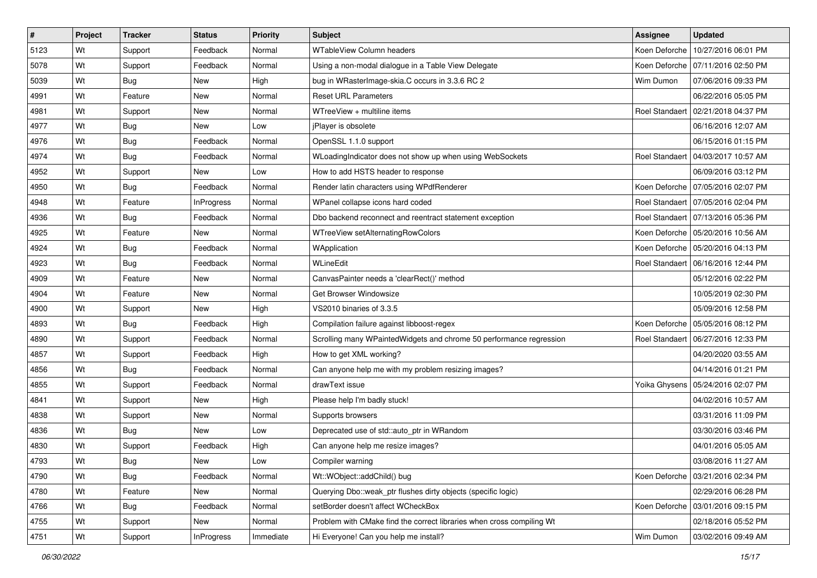| #    | Project | <b>Tracker</b> | <b>Status</b>     | <b>Priority</b> | <b>Subject</b>                                                        | <b>Assignee</b>       | <b>Updated</b>                       |
|------|---------|----------------|-------------------|-----------------|-----------------------------------------------------------------------|-----------------------|--------------------------------------|
| 5123 | Wt      | Support        | Feedback          | Normal          | <b>WTableView Column headers</b>                                      | Koen Deforche         | 10/27/2016 06:01 PM                  |
| 5078 | Wt      | Support        | Feedback          | Normal          | Using a non-modal dialogue in a Table View Delegate                   | Koen Deforche         | 07/11/2016 02:50 PM                  |
| 5039 | Wt      | Bug            | New               | High            | bug in WRasterImage-skia.C occurs in 3.3.6 RC 2                       | Wim Dumon             | 07/06/2016 09:33 PM                  |
| 4991 | Wt      | Feature        | New               | Normal          | <b>Reset URL Parameters</b>                                           |                       | 06/22/2016 05:05 PM                  |
| 4981 | Wt      | Support        | <b>New</b>        | Normal          | WTreeView + multiline items                                           | <b>Roel Standaert</b> | 02/21/2018 04:37 PM                  |
| 4977 | Wt      | <b>Bug</b>     | New               | Low             | jPlayer is obsolete                                                   |                       | 06/16/2016 12:07 AM                  |
| 4976 | Wt      | Bug            | Feedback          | Normal          | OpenSSL 1.1.0 support                                                 |                       | 06/15/2016 01:15 PM                  |
| 4974 | Wt      | Bug            | Feedback          | Normal          | WLoadingIndicator does not show up when using WebSockets              | <b>Roel Standaert</b> | 04/03/2017 10:57 AM                  |
| 4952 | Wt      | Support        | <b>New</b>        | Low             | How to add HSTS header to response                                    |                       | 06/09/2016 03:12 PM                  |
| 4950 | Wt      | Bug            | Feedback          | Normal          | Render latin characters using WPdfRenderer                            | Koen Deforche         | 07/05/2016 02:07 PM                  |
| 4948 | Wt      | Feature        | InProgress        | Normal          | WPanel collapse icons hard coded                                      | <b>Roel Standaert</b> | 07/05/2016 02:04 PM                  |
| 4936 | Wt      | Bug            | Feedback          | Normal          | Dbo backend reconnect and reentract statement exception               |                       | Roel Standaert   07/13/2016 05:36 PM |
| 4925 | Wt      | Feature        | <b>New</b>        | Normal          | WTreeView setAlternatingRowColors                                     | Koen Deforche         | 05/20/2016 10:56 AM                  |
| 4924 | Wt      | Bug            | Feedback          | Normal          | WApplication                                                          | Koen Deforche         | 05/20/2016 04:13 PM                  |
| 4923 | Wt      | Bug            | Feedback          | Normal          | WLineEdit                                                             | <b>Roel Standaert</b> | 06/16/2016 12:44 PM                  |
| 4909 | Wt      | Feature        | New               | Normal          | CanvasPainter needs a 'clearRect()' method                            |                       | 05/12/2016 02:22 PM                  |
| 4904 | Wt      | Feature        | New               | Normal          | Get Browser Windowsize                                                |                       | 10/05/2019 02:30 PM                  |
| 4900 | Wt      | Support        | <b>New</b>        | High            | VS2010 binaries of 3.3.5                                              |                       | 05/09/2016 12:58 PM                  |
| 4893 | Wt      | <b>Bug</b>     | Feedback          | High            | Compilation failure against libboost-regex                            | Koen Deforche         | 05/05/2016 08:12 PM                  |
| 4890 | Wt      | Support        | Feedback          | Normal          | Scrolling many WPaintedWidgets and chrome 50 performance regression   | <b>Roel Standaert</b> | 06/27/2016 12:33 PM                  |
| 4857 | Wt      | Support        | Feedback          | High            | How to get XML working?                                               |                       | 04/20/2020 03:55 AM                  |
| 4856 | Wt      | <b>Bug</b>     | Feedback          | Normal          | Can anyone help me with my problem resizing images?                   |                       | 04/14/2016 01:21 PM                  |
| 4855 | Wt      | Support        | Feedback          | Normal          | drawText issue                                                        | Yoika Ghysens         | 05/24/2016 02:07 PM                  |
| 4841 | Wt      | Support        | New               | High            | Please help I'm badly stuck!                                          |                       | 04/02/2016 10:57 AM                  |
| 4838 | Wt      | Support        | New               | Normal          | Supports browsers                                                     |                       | 03/31/2016 11:09 PM                  |
| 4836 | Wt      | Bug            | <b>New</b>        | Low             | Deprecated use of std::auto_ptr in WRandom                            |                       | 03/30/2016 03:46 PM                  |
| 4830 | Wt      | Support        | Feedback          | High            | Can anyone help me resize images?                                     |                       | 04/01/2016 05:05 AM                  |
| 4793 | Wt      | Bug            | New               | Low             | Compiler warning                                                      |                       | 03/08/2016 11:27 AM                  |
| 4790 | Wt      | Bug            | Feedback          | Normal          | Wt::WObject::addChild() bug                                           |                       | Koen Deforche   03/21/2016 02:34 PM  |
| 4780 | Wt      | Feature        | New               | Normal          | Querying Dbo::weak ptr flushes dirty objects (specific logic)         |                       | 02/29/2016 06:28 PM                  |
| 4766 | Wt      | Bug            | Feedback          | Normal          | setBorder doesn't affect WCheckBox                                    | Koen Deforche         | 03/01/2016 09:15 PM                  |
| 4755 | Wt      | Support        | New               | Normal          | Problem with CMake find the correct libraries when cross compiling Wt |                       | 02/18/2016 05:52 PM                  |
| 4751 | Wt      | Support        | <b>InProgress</b> | Immediate       | Hi Everyone! Can you help me install?                                 | Wim Dumon             | 03/02/2016 09:49 AM                  |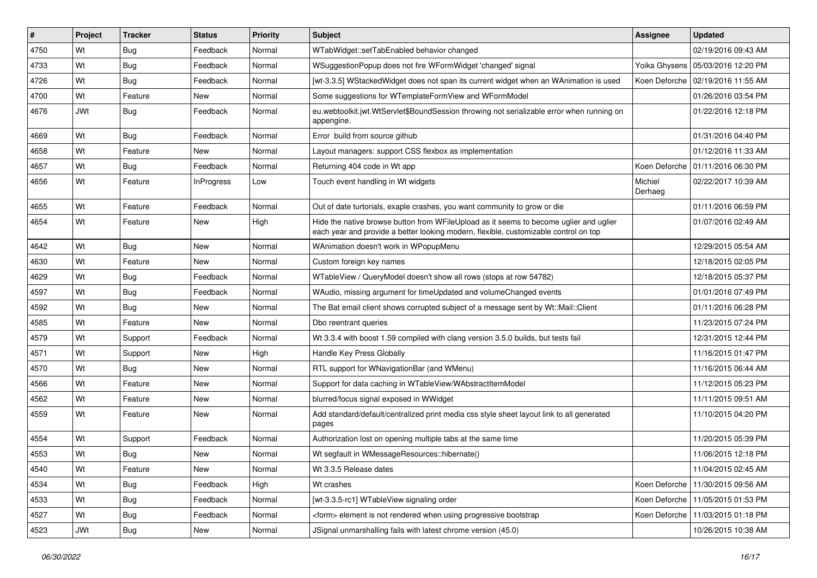| #    | Project    | <b>Tracker</b> | <b>Status</b> | <b>Priority</b> | Subject                                                                                                                                                                        | <b>Assignee</b>    | <b>Updated</b>                      |
|------|------------|----------------|---------------|-----------------|--------------------------------------------------------------------------------------------------------------------------------------------------------------------------------|--------------------|-------------------------------------|
| 4750 | Wt         | <b>Bug</b>     | Feedback      | Normal          | WTabWidget::setTabEnabled behavior changed                                                                                                                                     |                    | 02/19/2016 09:43 AM                 |
| 4733 | Wt         | <b>Bug</b>     | Feedback      | Normal          | WSuggestionPopup does not fire WFormWidget 'changed' signal                                                                                                                    |                    | Yoika Ghysens   05/03/2016 12:20 PM |
| 4726 | Wt         | Bug            | Feedback      | Normal          | [wt-3.3.5] WStackedWidget does not span its current widget when an WAnimation is used                                                                                          |                    | Koen Deforche   02/19/2016 11:55 AM |
| 4700 | Wt         | Feature        | New           | Normal          | Some suggestions for WTemplateFormView and WFormModel                                                                                                                          |                    | 01/26/2016 03:54 PM                 |
| 4676 | JWt        | <b>Bug</b>     | Feedback      | Normal          | eu.webtoolkit.jwt.WtServlet\$BoundSession throwing not serializable error when running on<br>appengine.                                                                        |                    | 01/22/2016 12:18 PM                 |
| 4669 | Wt         | <b>Bug</b>     | Feedback      | Normal          | Error build from source github                                                                                                                                                 |                    | 01/31/2016 04:40 PM                 |
| 4658 | Wt         | Feature        | <b>New</b>    | Normal          | Layout managers: support CSS flexbox as implementation                                                                                                                         |                    | 01/12/2016 11:33 AM                 |
| 4657 | Wt         | Bug            | Feedback      | Normal          | Returning 404 code in Wt app                                                                                                                                                   | Koen Deforche      | 01/11/2016 06:30 PM                 |
| 4656 | Wt         | Feature        | InProgress    | Low             | Touch event handling in Wt widgets                                                                                                                                             | Michiel<br>Derhaeg | 02/22/2017 10:39 AM                 |
| 4655 | Wt         | Feature        | Feedback      | Normal          | Out of date turtorials, exaple crashes, you want community to grow or die                                                                                                      |                    | 01/11/2016 06:59 PM                 |
| 4654 | Wt         | Feature        | New           | High            | Hide the native browse button from WFileUpload as it seems to become uglier and uglier<br>each year and provide a better looking modern, flexible, customizable control on top |                    | 01/07/2016 02:49 AM                 |
| 4642 | Wt         | <b>Bug</b>     | <b>New</b>    | Normal          | WAnimation doesn't work in WPopupMenu                                                                                                                                          |                    | 12/29/2015 05:54 AM                 |
| 4630 | Wt         | Feature        | <b>New</b>    | Normal          | Custom foreign key names                                                                                                                                                       |                    | 12/18/2015 02:05 PM                 |
| 4629 | Wt         | <b>Bug</b>     | Feedback      | Normal          | WTableView / QueryModel doesn't show all rows (stops at row 54782)                                                                                                             |                    | 12/18/2015 05:37 PM                 |
| 4597 | Wt         | <b>Bug</b>     | Feedback      | Normal          | WAudio, missing argument for timeUpdated and volumeChanged events                                                                                                              |                    | 01/01/2016 07:49 PM                 |
| 4592 | Wt         | <b>Bug</b>     | New           | Normal          | The Bat email client shows corrupted subject of a message sent by Wt::Mail::Client                                                                                             |                    | 01/11/2016 06:28 PM                 |
| 4585 | Wt         | Feature        | New           | Normal          | Dbo reentrant queries                                                                                                                                                          |                    | 11/23/2015 07:24 PM                 |
| 4579 | Wt         | Support        | Feedback      | Normal          | Wt 3.3.4 with boost 1.59 compiled with clang version 3.5.0 builds, but tests fail                                                                                              |                    | 12/31/2015 12:44 PM                 |
| 4571 | Wt         | Support        | <b>New</b>    | High            | Handle Key Press Globally                                                                                                                                                      |                    | 11/16/2015 01:47 PM                 |
| 4570 | Wt         | Bug            | New           | Normal          | RTL support for WNavigationBar (and WMenu)                                                                                                                                     |                    | 11/16/2015 06:44 AM                 |
| 4566 | Wt         | Feature        | <b>New</b>    | Normal          | Support for data caching in WTableView/WAbstractItemModel                                                                                                                      |                    | 11/12/2015 05:23 PM                 |
| 4562 | Wt         | Feature        | New           | Normal          | blurred/focus signal exposed in WWidget                                                                                                                                        |                    | 11/11/2015 09:51 AM                 |
| 4559 | Wt         | Feature        | New           | Normal          | Add standard/default/centralized print media css style sheet layout link to all generated<br>pages                                                                             |                    | 11/10/2015 04:20 PM                 |
| 4554 | Wt         | Support        | Feedback      | Normal          | Authorization lost on opening multiple tabs at the same time                                                                                                                   |                    | 11/20/2015 05:39 PM                 |
| 4553 | Wt         | <b>Bug</b>     | New           | Normal          | Wt segfault in WMessageResources::hibernate()                                                                                                                                  |                    | 11/06/2015 12:18 PM                 |
| 4540 | Wt         | Feature        | New           | Normal          | Wt 3.3.5 Release dates                                                                                                                                                         |                    | 11/04/2015 02:45 AM                 |
| 4534 | Wt         | <b>Bug</b>     | Feedback      | High            | Wt crashes                                                                                                                                                                     |                    | Koen Deforche   11/30/2015 09:56 AM |
| 4533 | Wt         | Bug            | Feedback      | Normal          | [wt-3.3.5-rc1] WTableView signaling order                                                                                                                                      |                    | Koen Deforche   11/05/2015 01:53 PM |
| 4527 | Wt         | <b>Bug</b>     | Feedback      | Normal          | <form> element is not rendered when using progressive bootstrap</form>                                                                                                         |                    | Koen Deforche   11/03/2015 01:18 PM |
| 4523 | <b>JWt</b> | Bug            | New           | Normal          | JSignal unmarshalling fails with latest chrome version (45.0)                                                                                                                  |                    | 10/26/2015 10:38 AM                 |